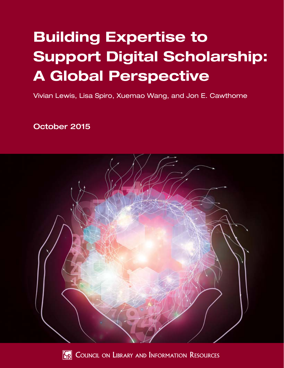# Building Expertise to Support Digital Scholarship: A Global Perspective

Vivian Lewis, Lisa Spiro, Xuemao Wang, and Jon E. Cawthorne

October 2015





**FR** COUNCIL ON LIBRARY AND INFORMATION RESOURCES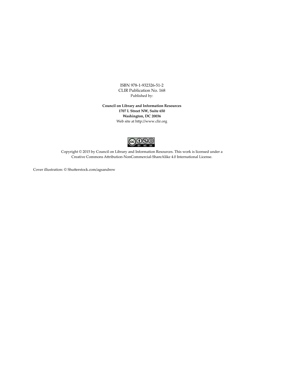ISBN 978-1-932326-51-2 CLIR Publication No. 168 Published by:

**Council on Library and Information Resources 1707 L Street NW, Suite 650 Washington, DC 20036** Web site at http://www.clir.org



Copyright © 2015 by Council on Library and Information Resources. This work is licensed under a Creative Commons Attribution-NonCommercial-ShareAlike 4.0 International License.

Cover illustration: © Shutterstock.com/agsandrew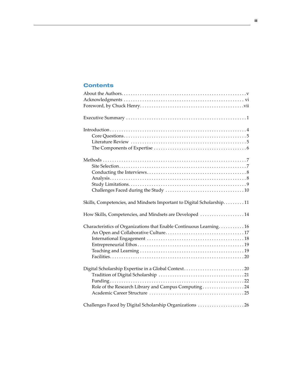# **Contents**

| Skills, Competencies, and Mindsets Important to Digital Scholarship11 |
|-----------------------------------------------------------------------|
| How Skills, Competencies, and Mindsets are Developed  14              |
| Characteristics of Organizations that Enable Continuous Learning 16   |
|                                                                       |
|                                                                       |
|                                                                       |
|                                                                       |
|                                                                       |
| Digital Scholarship Expertise in a Global Context20                   |
|                                                                       |
|                                                                       |
| Role of the Research Library and Campus Computing24                   |
|                                                                       |
| Challenges Faced by Digital Scholarship Organizations 26              |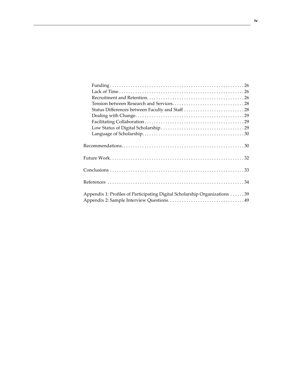| Status Differences between Faculty and Staff 28                            |
|----------------------------------------------------------------------------|
|                                                                            |
|                                                                            |
|                                                                            |
|                                                                            |
|                                                                            |
|                                                                            |
|                                                                            |
|                                                                            |
|                                                                            |
|                                                                            |
|                                                                            |
|                                                                            |
|                                                                            |
| Appendix 1: Profiles of Participating Digital Scholarship Organizations 39 |
|                                                                            |
|                                                                            |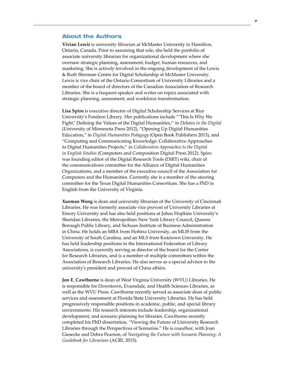## About the Authors

**Vivian Lewis** is university librarian at McMaster University in Hamilton, Ontario, Canada. Prior to assuming that role, she held the portfolio of associate university librarian for organizational development where she oversaw strategic planning, assessment, budget, human resources, and marketing. She is actively involved in the ongoing development of the Lewis & Ruth Sherman Centre for Digital Scholarship at McMaster University. Lewis is vice chair of the Ontario Consortium of University Libraries and a member of the board of directors of the Canadian Association of Research Libraries. She is a frequent speaker and writer on topics associated with strategic planning, assessment, and workforce transformation.

**Lisa Spiro** is executive director of Digital Scholarship Services at Rice University's Fondren Library. Her publications include "'This Is Why We Fight:' Defining the Values of the Digital Humanities,'' in *Debates in the Digital* (University of Minnesota Press 2012), "Opening Up Digital Humanities Education," in *Digital Humanities Pedagogy* (Open Book Publishers 2013), and "Computing and Communicating Knowledge: Collaborative Approaches to Digital Humanities Projects," in *Collaborative Approaches to the Digital in English Studies* (Computers and Composition Digital Press 2012). Spiro was founding editor of the Digital Research Tools (DiRT) wiki, chair of the communications committee for the Alliance of Digital Humanities Organizations, and a member of the executive council of the Association for Computers and the Humanities. Currently she is a member of the steering committee for the Texas Digital Humanities Consortium. She has a PhD in English from the University of Virginia.

**Xuemao Wang** is dean and university librarian of the University of Cincinnati Libraries. He was formerly associate vice provost of University Libraries at Emory University and has also held positions at Johns Hopkins University's Sheridan Libraries, the Metropolitan New York Library Council, Queens Borough Public Library, and Sichuan Institute of Business Administration in China. He holds an MBA from Hofstra University, an MLIS from the University of South Carolina, and an MLS from Kutztown University. He has held leadership positions in the International Federation of Library Associations, is currently serving as director of the board for the Center for Research Libraries, and is a member of multiple committees within the Association of Research Libraries. He also serves as a special advisor to the university's president and provost of China affairs.

**Jon E. Cawthorne** is dean of West Virginia University (WVU) Libraries. He is responsible for Downtown, Evansdale, and Health Sciences Libraries, as well as the WVU Press. Cawthorne recently served as associate dean of public services and assessment at Florida State University Libraries. He has held progressively responsible positions in academic, public, and special library environments. His research interests include leadership, organizational development, and scenario planning for libraries. Cawthorne recently completed his PhD dissertation, "Viewing the Future of University Research Libraries through the Perspectives of Scenarios." He is coauthor, with Joan Giesecke and Debra Pearson, of *Navigating the Future with Scenario Planning: A Guidebook for Librarians* (ACRL 2015).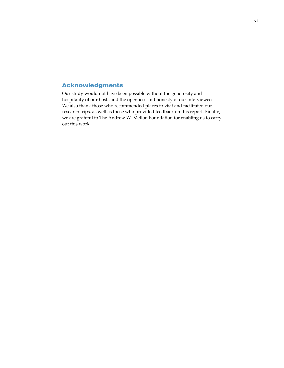## Acknowledgments

Our study would not have been possible without the generosity and hospitality of our hosts and the openness and honesty of our interviewees. We also thank those who recommended places to visit and facilitated our research trips, as well as those who provided feedback on this report. Finally, we are grateful to The Andrew W. Mellon Foundation for enabling us to carry out this work.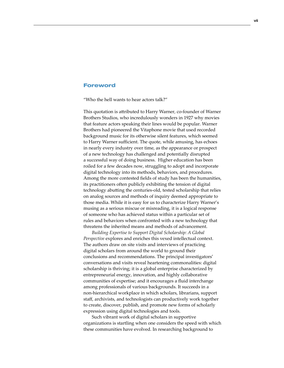## Foreword

"Who the hell wants to hear actors talk?"

This quotation is attributed to Harry Warner, co-founder of Warner Brothers Studios, who incredulously wonders in 1927 why movies that feature actors speaking their lines would be popular. Warner Brothers had pioneered the Vitaphone movie that used recorded background music for its otherwise silent features, which seemed to Harry Warner sufficient. The quote, while amusing, has echoes in nearly every industry over time, as the appearance or prospect of a new technology has challenged and potentially disrupted a successful way of doing business. Higher education has been roiled for a few decades now, struggling to adopt and incorporate digital technology into its methods, behaviors, and procedures. Among the more contested fields of study has been the humanities, its practitioners often publicly exhibiting the tension of digital technology abutting the centuries-old, tested scholarship that relies on analog sources and methods of inquiry deemed appropriate to those media. While it is easy for us to characterize Harry Warner's musing as a serious miscue or misreading, it is a logical response of someone who has achieved status within a particular set of rules and behaviors when confronted with a new technology that threatens the inherited means and methods of advancement.

*Building Expertise to Support Digital Scholarship: A Global Perspective* explores and enriches this vexed intellectual context. The authors draw on site visits and interviews of practicing digital scholars from around the world to ground their conclusions and recommendations. The principal investigators' conversations and visits reveal heartening commonalities: digital scholarship is thriving; it is a global enterprise characterized by entrepreneurial energy, innovation, and highly collaborative communities of expertise; and it encourages a fluid interchange among professionals of various backgrounds. It succeeds in a non-hierarchical workplace in which scholars, librarians, support staff, archivists, and technologists can productively work together to create, discover, publish, and promote new forms of scholarly expression using digital technologies and tools.

Such vibrant work of digital scholars in supportive organizations is startling when one considers the speed with which these communities have evolved. In researching background to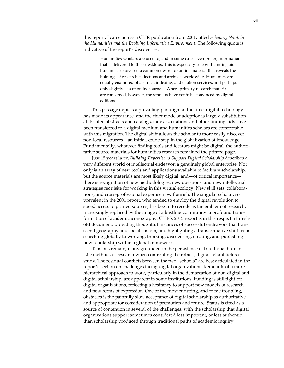this report, I came across a CLIR publication from 2001, titled *Scholarly Work in the Humanities and the Evolving Information Environment*. The following quote is indicative of the report's discoveries:

> Humanities scholars are used to, and in some cases even prefer, information that is delivered to their desktops. This is especially true with finding aids; humanists expressed a common desire for online material that reveals the holdings of research collections and archives worldwide. Humanists are equally enamored of abstract, indexing, and citation services, and perhaps only slightly less of online journals. Where primary research materials are concerned, however, the scholars have yet to be convinced by digital editions.

This passage depicts a prevailing paradigm at the time: digital technology has made its appearance, and the chief mode of adoption is largely substitutional. Printed abstracts and catalogs, indexes, citations and other finding aids have been transferred to a digital medium and humanities scholars are comfortable with this migration. The digital shift allows the scholar to more easily discover non-local resources—an initial, crude step in the globalization of knowledge. Fundamentally, whatever finding tools and locators might be digital, the authoritative source materials for humanities research remained the printed page.

Just 15 years later, *Building Expertise to Support Digital Scholarship* describes a very different world of intellectual endeavor: a genuinely global enterprise. Not only is an array of new tools and applications available to facilitate scholarship, but the source materials are most likely digital, and—of critical importance there is recognition of new methodologies, new questions, and new intellectual strategies requisite for working in this virtual ecology. New skill sets, collaborations, and cross-professional expertise now flourish. The singular scholar, so prevalent in the 2001 report, who tended to employ the digital revolution to speed access to printed sources, has begun to recede as the emblem of research, increasingly replaced by the image of a bustling community: a profound transformation of academic iconography. CLIR's 2015 report is in this respect a threshold document, providing thoughtful instances of successful endeavors that transcend geography and social custom, and highlighting a transformative shift from searching globally to working, thinking, discovering, creating, and publishing new scholarship within a global framework.

Tensions remain, many grounded in the persistence of traditional humanistic methods of research when confronting the robust, digital-reliant fields of study. The residual conflicts between the two "schools" are best articulated in the report's section on challenges facing digital organizations. Remnants of a more hierarchical approach to work, particularly in the demarcation of non-digital and digital scholarship, are apparent in some institutions. Funding is still tight for digital organizations, reflecting a hesitancy to support new models of research and new forms of expression. One of the most enduring, and to me troubling, obstacles is the painfully slow acceptance of digital scholarship as authoritative and appropriate for consideration of promotion and tenure. Status is cited as a source of contention in several of the challenges, with the scholarship that digital organizations support sometimes considered less important, or less authentic, than scholarship produced through traditional paths of academic inquiry.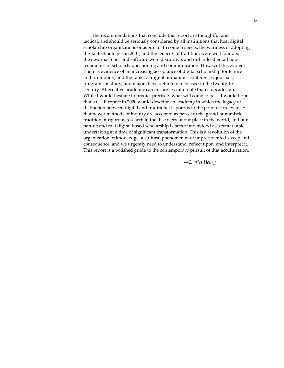The recommendations that conclude this report are thoughtful and tactical, and should be seriously considered by all institutions that host digital scholarship organizations or aspire to. In some respects, the wariness of adopting digital technologies in 2001, and the tenacity of tradition, were well founded: the new machines and software were disruptive, and did indeed entail new techniques of scholarly questioning and communication. How will this evolve? There is evidence of an increasing acceptance of digital scholarship for tenure and promotion, and the ranks of digital humanities conferences, journals, programs of study, and majors have definitely increased in the twenty-first century. Alternative academic careers are less alternate than a decade ago. While I would hesitate to predict precisely what will come to pass, I would hope that a CLIR report in 2020 would describe an academy in which the legacy of distinction between digital and traditional is porous to the point of irrelevance; that newer methods of inquiry are accepted as parcel to the grand humanistic tradition of rigorous research in the discovery of our place in the world, and our nature; and that digital-based scholarship is better understood as a remarkable undertaking at a time of significant transformation. This is a revolution of the organization of knowledge, a cultural phenomenon of unprecedented sweep and consequence, and we urgently need to understand, reflect upon, and interpret it. This report is a polished guide to the contemporary pursuit of that acculturation.

*—Charles Henry*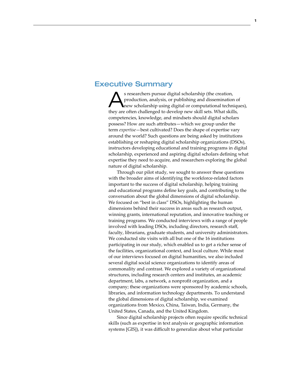## Executive Summary

S researchers pursue digital scholarship (the creation,<br>
production, analysis, or publishing and dissemination of<br>
new scholarship using digital or computational techniques), production, analysis, or publishing and dissemination of they are often challenged to develop new skill sets. What skills, competencies, knowledge, and mindsets should digital scholars possess? How are such attributes—which we group under the term *expertise*—best cultivated? Does the shape of expertise vary around the world? Such questions are being asked by institutions establishing or reshaping digital scholarship organizations (DSOs), instructors developing educational and training programs in digital scholarship, experienced and aspiring digital scholars defining what expertise they need to acquire, and researchers exploring the global nature of digital scholarship.

Through our pilot study, we sought to answer these questions with the broader aims of identifying the workforce-related factors important to the success of digital scholarship, helping training and educational programs define key goals, and contributing to the conversation about the global dimensions of digital scholarship. We focused on "best in class" DSOs, highlighting the human dimensions behind their success in areas such as research output, winning grants, international reputation, and innovative teaching or training programs. We conducted interviews with a range of people involved with leading DSOs, including directors, research staff, faculty, librarians, graduate students, and university administrators. We conducted site visits with all but one of the 16 institutions participating in our study, which enabled us to get a richer sense of the facilities, organizational context, and local culture. While most of our interviews focused on digital humanities, we also included several digital social science organizations to identify areas of commonality and contrast. We explored a variety of organizational structures, including research centers and institutes, an academic department, labs, a network, a nonprofit organization, and a company; these organizations were sponsored by academic schools, libraries, and information technology departments. To understand the global dimensions of digital scholarship, we examined organizations from Mexico, China, Taiwan, India, Germany, the United States, Canada, and the United Kingdom.

Since digital scholarship projects often require specific technical skills (such as expertise in text analysis or geographic information systems [GIS]), it was difficult to generalize about what particular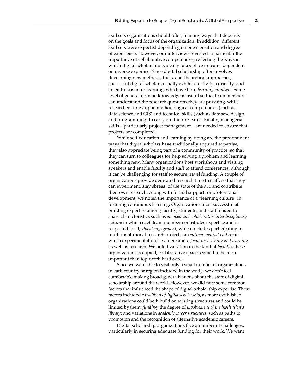skill sets organizations should offer; in many ways that depends on the goals and focus of the organization. In addition, different skill sets were expected depending on one's position and degree of experience. However, our interviews revealed in particular the importance of collaborative competencies, reflecting the ways in which digital scholarship typically takes place in teams dependent on diverse expertise. Since digital scholarship often involves developing new methods, tools, and theoretical approaches, successful digital scholars usually exhibit creativity, curiosity, and an enthusiasm for learning, which we term *learning mindsets*. Some level of general domain knowledge is useful so that team members can understand the research questions they are pursuing, while researchers draw upon methodological competencies (such as data science and GIS) and technical skills (such as database design and programming) to carry out their research. Finally, managerial skills—particularly project management—are needed to ensure that projects are completed.

While self-education and learning by doing are the predominant ways that digital scholars have traditionally acquired expertise, they also appreciate being part of a community of practice, so that they can turn to colleagues for help solving a problem and learning something new. Many organizations host workshops and visiting speakers and enable faculty and staff to attend conferences, although it can be challenging for staff to secure travel funding. A couple of organizations provide dedicated research time to staff, so that they can experiment, stay abreast of the state of the art, and contribute their own research. Along with formal support for professional development, we noted the importance of a "learning culture" in fostering continuous learning. Organizations most successful at building expertise among faculty, students, and staff tended to share characteristics such as *an open and collaborative interdisciplinary culture* in which each team member contributes expertise and is respected for it; *global engagement*, which includes participating in multi-institutional research projects; an *entrepreneurial culture* in which experimentation is valued; and a *focus on teaching and learning* as well as research. We noted variation in the kind of *facilities* these organizations occupied; collaborative space seemed to be more important than top-notch hardware.

Since we were able to visit only a small number of organizations in each country or region included in the study, we don't feel comfortable making broad generalizations about the state of digital scholarship around the world. However, we did note some common factors that influenced the shape of digital scholarship expertise. These factors included *a tradition of digital scholarship*, as more established organizations could both build on existing structures and could be limited by them; *funding*; the degree of *involvement of the institution's library*; and variations in *academic career structures*, such as paths to promotion and the recognition of alternative academic careers.

Digital scholarship organizations face a number of challenges, particularly in securing adequate funding for their work. We want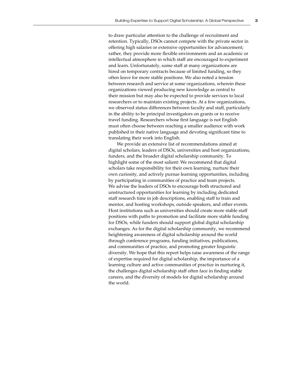to draw particular attention to the challenge of recruitment and retention. Typically, DSOs cannot compete with the private sector in offering high salaries or extensive opportunities for advancement; rather, they provide more flexible environments and an academic or intellectual atmosphere in which staff are encouraged to experiment and learn. Unfortunately, some staff at many organizations are hired on temporary contracts because of limited funding, so they often leave for more stable positions. We also noted a tension between research and service at some organizations, wherein these organizations viewed producing new knowledge as central to their mission but may also be expected to provide services to local researchers or to maintain existing projects. At a few organizations, we observed status differences between faculty and staff, particularly in the ability to be principal investigators on grants or to receive travel funding. Researchers whose first language is not English must often choose between reaching a smaller audience with work published in their native language and devoting significant time to translating their work into English.

We provide an extensive list of recommendations aimed at digital scholars, leaders of DSOs, universities and host organizations, funders, and the broader digital scholarship community. To highlight some of the most salient: We recommend that digital scholars take responsibility for their own learning, nurture their own curiosity, and actively pursue learning opportunities, including by participating in communities of practice and team projects. We advise the leaders of DSOs to encourage both structured and unstructured opportunities for learning by including dedicated staff research time in job descriptions, enabling staff to train and mentor, and hosting workshops, outside speakers, and other events. Host institutions such as universities should create more stable staff positions with paths to promotion and facilitate more stable funding for DSOs, while funders should support global digital scholarship exchanges. As for the digital scholarship community, we recommend heightening awareness of digital scholarship around the world through conference programs, funding initiatives, publications, and communities of practice, and promoting greater linguistic diversity. We hope that this report helps raise awareness of the range of expertise required for digital scholarship, the importance of a learning culture and active communities of practice in nurturing it, the challenges digital scholarship staff often face in finding stable careers, and the diversity of models for digital scholarship around the world.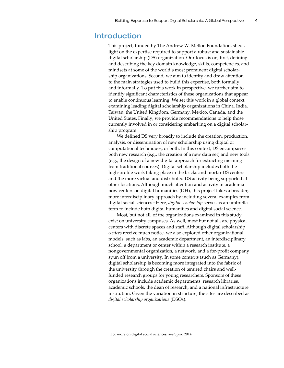## Introduction

This project, funded by The Andrew W. Mellon Foundation, sheds light on the expertise required to support a robust and sustainable digital scholarship (DS) organization. Our focus is on, first, defining and describing the key domain knowledge, skills, competencies, and mindsets at some of the world's most prominent digital scholarship organizations. Second, we aim to identify and draw attention to the main strategies used to build this expertise, both formally and informally. To put this work in perspective, we further aim to identify significant characteristics of these organizations that appear to enable continuous learning. We set this work in a global context, examining leading digital scholarship organizations in China, India, Taiwan, the United Kingdom, Germany, Mexico, Canada, and the United States. Finally, we provide recommendations to help those currently involved in or considering embarking on a digital scholarship program.

We defined DS very broadly to include the creation, production, analysis, or dissemination of new scholarship using digital or computational techniques, or both. In this context, DS encompasses both new research (e.g., the creation of a new data set) and new tools (e.g., the design of a new digital approach for extracting meaning from traditional sources). Digital scholarship includes both the high-profile work taking place in the bricks and mortar DS centers and the more virtual and distributed DS activity being supported at other locations. Although much attention and activity in academia now centers on digital humanities (DH), this project takes a broader, more interdisciplinary approach by including several examples from digital social sciences.<sup>1</sup> Here, *digital scholarship* serves as an umbrella term to include both digital humanities and digital social science.

Most, but not all, of the organizations examined in this study exist on university campuses. As well, most but not all, are physical centers with discrete spaces and staff. Although digital scholarship *centers* receive much notice, we also explored other organizational models, such as labs, an academic department, an interdisciplinary school, a department or center within a research institute, a nongovernmental organization, a network, and a for-profit company spun off from a university. In some contexts (such as Germany), digital scholarship is becoming more integrated into the fabric of the university through the creation of tenured chairs and wellfunded research groups for young researchers. Sponsors of these organizations include academic departments, research libraries, academic schools, the dean of research, and a national infrastructure institution. Given the variation in structure, the sites are described as *digital scholarship organizations* (DSOs).

<sup>1</sup> For more on digital social sciences, see Spiro 2014.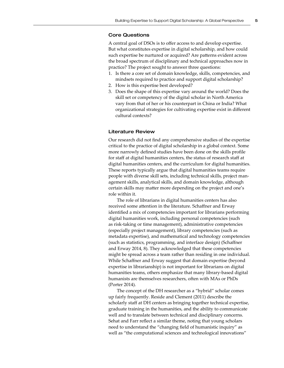#### Core Questions

A central goal of DSOs is to offer access to and develop expertise. But what constitutes expertise in digital scholarship, and how could such expertise be nurtured or acquired? Are patterns evident across the broad spectrum of disciplinary and technical approaches now in practice? The project sought to answer three questions:

- 1. Is there a core set of domain knowledge, skills, competencies, and mindsets required to practice and support digital scholarship?
- 2. How is this expertise best developed?
- 3. Does the shape of this expertise vary around the world? Does the skill set or competency of the digital scholar in North America vary from that of her or his counterpart in China or India? What organizational strategies for cultivating expertise exist in different cultural contexts?

#### Literature Review

Our research did not find any comprehensive studies of the expertise critical to the practice of digital scholarship in a global context. Some more narrowly defined studies have been done on the skills profile for staff at digital humanities centers, the status of research staff at digital humanities centers, and the curriculum for digital humanities. These reports typically argue that digital humanities teams require people with diverse skill sets, including technical skills, project management skills, analytical skills, and domain knowledge, although certain skills may matter more depending on the project and one's role within it.

The role of librarians in digital humanities centers has also received some attention in the literature. Schaffner and Erway identified a mix of competencies important for librarians performing digital humanities work, including personal competencies (such as risk-taking or time management), administrative competencies (especially project management), library competencies (such as metadata expertise), and mathematical and technology competencies (such as statistics, programming, and interface design) (Schaffner and Erway 2014, 8). They acknowledged that these competencies might be spread across a team rather than residing in one individual. While Schaffner and Erway suggest that domain expertise (beyond expertise in librarianship) is not important for librarians on digital humanities teams, others emphasize that many library-based digital humanists are themselves researchers, often with MAs or PhDs (Porter 2014).

The concept of the DH researcher as a "hybrid" scholar comes up fairly frequently. Reside and Clement (2011) describe the scholarly staff at DH centers as bringing together technical expertise, graduate training in the humanities, and the ability to communicate well and to translate between technical and disciplinary concerns. Sehat and Farr reflect a similar theme, noting that young scholars need to understand the "changing field of humanistic inquiry" as well as "the computational sciences and technological innovations"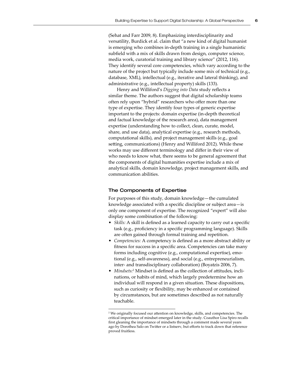(Sehat and Farr 2009, 8). Emphasizing interdisciplinarity and versatility, Burdick et al. claim that "a new kind of digital humanist is emerging who combines in-depth training in a single humanistic subfield with a mix of skills drawn from design, computer science, media work, curatorial training and library science" (2012, 116). They identify several core competencies, which vary according to the nature of the project but typically include some mix of technical (e.g., database, XML), intellectual (e.g., iterative and lateral thinking), and administrative (e.g., intellectual property) skills (133).

Henry and Williford's *Digging into Data* study reflects a similar theme. The authors suggest that digital scholarship teams often rely upon "hybrid" researchers who offer more than one type of expertise. They identify four types of generic expertise important to the projects: domain expertise (in-depth theoretical and factual knowledge of the research area), data management expertise (understanding how to collect, clean, curate, model, share, and use data), analytical expertise (e.g., research methods, computational skills), and project management skills (e.g., goal setting, communications) (Henry and Williford 2012). While these works may use different terminology and differ in their view of who needs to know what, there seems to be general agreement that the components of digital humanities expertise include a mix of analytical skills, domain knowledge, project management skills, and communication abilities.

#### The Components of Expertise

For purposes of this study, domain knowledge—the cumulated knowledge associated with a specific discipline or subject area—is only one component of expertise. The recognized "expert" will also display some combination of the following:

- *Skills:* A skill is defined as a learned capacity to carry out a specific task (e.g., proficiency in a specific programming language). Skills are often gained through formal training and repetition.
- *Competencies:* A competency is defined as a more abstract ability or fitness for success in a specific area. Competencies can take many forms including cognitive (e.g., computational expertise), emotional (e.g., self-awareness), and social (e.g., entrepreneurialism, inter- and transdisciplinary collaboration) (Boyatzis 2006, 7).
- Mindsets:<sup>2</sup> Mindset is defined as the collection of attitudes, inclinations, or habits of mind, which largely predetermine how an individual will respond in a given situation. These dispositions, such as curiosity or flexibility, may be enhanced or contained by circumstances, but are sometimes described as not naturally teachable.

<sup>2</sup> We originally focused our attention on knowledge, skills, and competencies. The critical importance of mindset emerged later in the study. Coauthor Lisa Spiro recalls first gleaning the importance of mindsets through a comment made several years ago by Dorothea Salo on Twitter or a listserv, but efforts to track down that reference proved fruitless.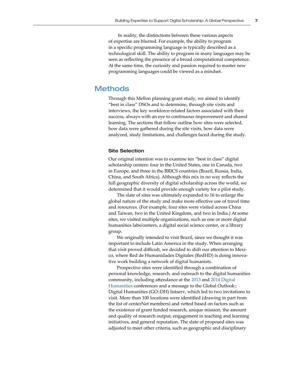In reality, the distinctions between these various aspects of expertise are blurred. For example, the ability to program in a specific programming language is typically described as a technological skill. The ability to program in many languages may be seen as reflecting the presence of a broad computational competence. At the same time, the curiosity and passion required to master new programming languages could be viewed as a mindset.

## **Methods**

Through this Mellon planning grant study, we aimed to identify "best in class" DSOs and to determine, through site visits and interviews, the key workforce-related factors associated with their success, always with an eye to continuous improvement and shared learning. The sections that follow outline how sites were selected, how data were gathered during the site visits, how data were analyzed, study limitations, and challenges faced during the study.

#### Site Selection

Our original intention was to examine ten "best in class" digital scholarship centers: four in the United States, one in Canada, two in Europe, and three in the BRICS countries (Brazil, Russia, India, China, and South Africa). Although this mix in no way reflects the full geographic diversity of digital scholarship across the world, we determined that it would provide enough variety for a pilot study.

The slate of sites was ultimately expanded to 16 to enlarge the global nature of the study and make more effective use of travel time and resources. (For example, four sites were visited across China and Taiwan, two in the United Kingdom, and two in India.) At some sites, we visited multiple organizations, such as one or more digital humanities labs/centers, a digital social science center, or a library group.

We originally intended to visit Brazil, since we thought it was important to include Latin America in the study. When arranging that visit proved difficult, we decided to shift our attention to Mexico, where Red de Humanidades Digitales (RedHD) is doing innovative work building a network of digital humanists.

Prospective sites were identified through a combination of personal knowledge, research, and outreach to the digital humanities community, including attendance at the [2013](http://dh2013.unl.edu/) and [2014 Digital](http://dh2014.org/)  [Humanities](http://dh2014.org/) conferences and a message to the Global Outlook:: Digital Humanities (GO::DH) listserv, which led to two invitations to visit. More than 100 locations were identified (drawing in part from the list of centerNet members) and vetted based on factors such as the existence of grant funded research, unique mission, the amount and quality of research output, engagement in teaching and learning initiatives, and general reputation. The slate of proposed sites was adjusted to meet other criteria, such as geographic and disciplinary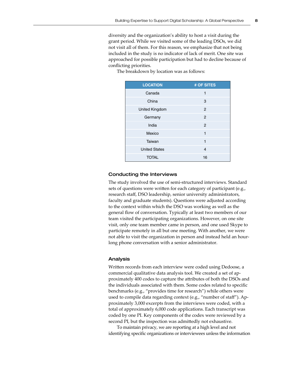diversity and the organization's ability to host a visit during the grant period. While we visited some of the leading DSOs, we did not visit all of them. For this reason, we emphasize that not being included in the study is no indicator of lack of merit. One site was approached for possible participation but had to decline because of conflicting priorities.

| <b>LOCATION</b>      | # OF SITES     |
|----------------------|----------------|
| Canada               | 1              |
| China                | 3              |
| United Kingdom       | $\overline{2}$ |
| Germany              | 2              |
| India                | 2              |
| Mexico               | 1              |
| Taiwan               | 1              |
| <b>United States</b> | 4              |
| <b>TOTAL</b>         | 16             |

The breakdown by location was as follows:

## Conducting the Interviews

The study involved the use of semi-structured interviews. Standard sets of questions were written for each category of participant (e.g., research staff, DSO leadership, senior university administrators, faculty and graduate students). Questions were adjusted according to the context within which the DSO was working as well as the general flow of conversation. Typically at least two members of our team visited the participating organizations. However, on one site visit, only one team member came in person, and one used Skype to participate remotely in all but one meeting. With another, we were not able to visit the organization in person and instead held an hourlong phone conversation with a senior administrator.

#### Analysis

Written records from each interview were coded using Dedoose, a commercial qualitative data analysis tool. We created a set of approximately 400 codes to capture the attributes of both the DSOs and the individuals associated with them. Some codes related to specific benchmarks (e.g., "provides time for research") while others were used to compile data regarding context (e.g., "number of staff"). Approximately 3,000 excerpts from the interviews were coded, with a total of approximately 6,000 code applications. Each transcript was coded by one PI. Key components of the codex were reviewed by a second PI, but the inspection was admittedly not exhaustive.

To maintain privacy, we are reporting at a high level and not identifying specific organizations or interviewees unless the information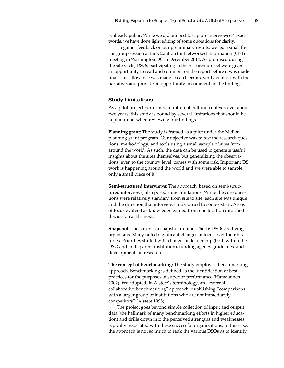is already public. While we did our best to capture interviewees' exact words, we have done light editing of some quotations for clarity.

To gather feedback on our preliminary results, we led a small focus group session at the Coalition for Networked Information (CNI) meeting in Washington DC in December 2014. As promised during the site visits, DSOs participating in the research project were given an opportunity to read and comment on the report before it was made final. This allowance was made to catch errors, verify comfort with the narrative, and provide an opportunity to comment on the findings.

#### Study Limitations

As a pilot project performed in different cultural contexts over about two years, this study is bound by several limitations that should be kept in mind when reviewing our findings.

**Planning grant:** The study is framed as a pilot under the Mellon planning grant program. Our objective was to test the research questions, methodology, and tools using a small sample of sites from around the world. As such, the data can be used to generate useful insights about the sites themselves, but generalizing the observations, even to the country level, comes with some risk. Important DS work is happening around the world and we were able to sample only a small piece of it.

**Semi-structured interviews:** The approach, based on semi-structured interviews, also posed some limitations. While the core questions were relatively standard from site to site, each site was unique and the direction that interviews took varied to some extent. Areas of focus evolved as knowledge gained from one location informed discussion at the next.

**Snapshot:** The study is a snapshot in time. The 16 DSOs are living organisms. Many noted significant changes in focus over their histories. Priorities shifted with changes in leadership (both within the DSO and in its parent institution), funding agency guidelines, and developments in research.

**The concept of benchmarking:** The study employs a benchmarking approach. Benchmarking is defined as the identification of best practices for the purposes of superior performance (Hamalainen 2002). We adopted, in Alstete's terminology, an "external collaborative benchmarking" approach, establishing "comparisons with a larger group of institutions who are not immediately competitors" (Alstete 1995).

The project goes beyond simple collection of input and output data (the hallmark of many benchmarking efforts in higher education) and drills down into the perceived strengths and weaknesses typically associated with these successful organizations. In this case, the approach is not so much to rank the various DSOs as to identify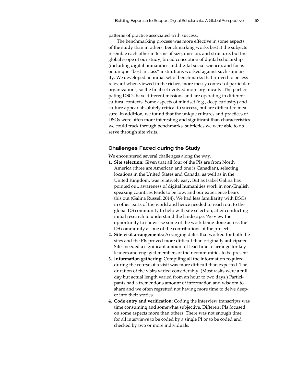patterns of practice associated with success.

The benchmarking process was more effective in some aspects of the study than in others. Benchmarking works best if the subjects resemble each other in terms of size, mission, and structure, but the global scope of our study, broad conception of digital scholarship (including digital humanities and digital social science), and focus on unique "best in class" institutions worked against such similarity. We developed an initial set of benchmarks that proved to be less relevant when viewed in the richer, more messy context of particular organizations, so the final set evolved more organically. The participating DSOs have different missions and are operating in different cultural contexts. Some aspects of mindset (e.g., deep curiosity) and culture appear absolutely critical to success, but are difficult to measure. In addition, we found that the unique cultures and practices of DSOs were often more interesting and significant than characteristics we could track through benchmarks, subtleties we were able to observe through site visits.

#### Challenges Faced during the Study

We encountered several challenges along the way.

- **1. Site selection:** Given that all four of the PIs are from North America (three are American and one is Canadian), selecting locations in the United States and Canada, as well as in the United Kingdom, was relatively easy. But as Isabel Galina has pointed out, awareness of digital humanities work in non-English speaking countries tends to be low, and our experience bears this out (Galina Russell 2014). We had less familiarity with DSOs in other parts of the world and hence needed to reach out to the global DS community to help with site selection, after conducting initial research to understand the landscape. We view the opportunity to showcase some of the work being done across the DS community as one of the contributions of the project.
- **2. Site visit arrangements:** Arranging dates that worked for both the sites and the PIs proved more difficult than originally anticipated. Sites needed a significant amount of lead time to arrange for key leaders and engaged members of their communities to be present.
- **3. Information gathering:** Compiling all the information required during the course of a visit was more difficult than expected. The duration of the visits varied considerably. (Most visits were a full day but actual length varied from an hour to two days.) Participants had a tremendous amount of information and wisdom to share and we often regretted not having more time to delve deeper into their stories.
- **4. Code entry and verification:** Coding the interview transcripts was time consuming and somewhat subjective. Different PIs focused on some aspects more than others. There was not enough time for all interviews to be coded by a single PI or to be coded and checked by two or more individuals.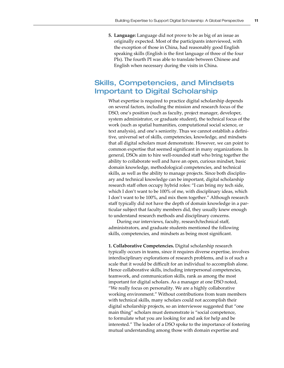**5. Language:** Language did not prove to be as big of an issue as originally expected. Most of the participants interviewed, with the exception of those in China, had reasonably good English speaking skills (English is the first language of three of the four PIs). The fourth PI was able to translate between Chinese and English when necessary during the visits in China.

# Skills, Competencies, and Mindsets Important to Digital Scholarship

What expertise is required to practice digital scholarship depends on several factors, including the mission and research focus of the DSO, one's position (such as faculty, project manager, developer, system administrator, or graduate student), the technical focus of the work (such as spatial humanities, computational social science, or text analysis), and one's seniority. Thus we cannot establish a definitive, universal set of skills, competencies, knowledge, and mindsets that all digital scholars must demonstrate. However, we can point to common expertise that seemed significant in many organizations. In general, DSOs aim to hire well-rounded staff who bring together the ability to collaborate well and have an open, curious mindset, basic domain knowledge, methodological competencies, and technical skills, as well as the ability to manage projects. Since both disciplinary and technical knowledge can be important, digital scholarship research staff often occupy hybrid roles: "I can bring my tech side, which I don't want to be 100% of me, with disciplinary ideas, which I don't want to be 100%, and mix them together." Although research staff typically did not have the depth of domain knowledge in a particular subject that faculty members did, they usually knew enough to understand research methods and disciplinary concerns.

During our interviews, faculty, research/technical staff, administrators, and graduate students mentioned the following skills, competencies, and mindsets as being most significant.

**1. Collaborative Competencies.** Digital scholarship research typically occurs in teams, since it requires diverse expertise, involves interdisciplinary explorations of research problems, and is of such a scale that it would be difficult for an individual to accomplish alone. Hence collaborative skills, including interpersonal competencies, teamwork, and communication skills, rank as among the most important for digital scholars. As a manager at one DSO noted, "We really focus on personality. We are a highly collaborative working environment." Without contributions from team members with technical skills, many scholars could not accomplish their digital scholarship projects, so an interviewee suggested that "one main thing" scholars must demonstrate is "social competence, to formulate what you are looking for and ask for help and be interested." The leader of a DSO spoke to the importance of fostering mutual understanding among those with domain expertise and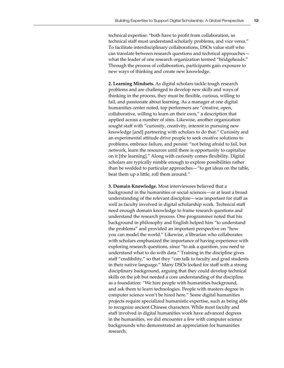technical expertise: "both have to profit from collaboration, so technical staff must understand scholarly problems, and vice versa." To facilitate interdisciplinary collaborations, DSOs value staff who can translate between research questions and technical approaches what the leader of one research organization termed "bridgeheads." Through the process of collaboration, participants gain exposure to new ways of thinking and create new knowledge.

**2. Learning Mindsets.** As digital scholars tackle tough research problems and are challenged to develop new skills and ways of thinking in the process, they must be flexible, curious, willing to fail, and passionate about learning. As a manager at one digital humanities center noted, top performers are "creative, open, collaborative, willing to learn on their own," a description that applied across a number of sites. Likewise, another organization sought staff with "curiosity, creativity, interest in pursuing new knowledge [and] partnering with scholars to do that." Curiosity and an experimental attitude drive people to seek creative solutions to problems, embrace failure, and persist: "not being afraid to fail, but network, learn the resources until there is opportunity to capitalize on it [the learning]." Along with curiosity comes flexibility. Digital scholars are typically nimble enough to explore possibilities rather than be wedded to particular approaches—"to get ideas on the table, beat them up a little, roll them around."

**3. Domain Knowledge.** Most interviewees believed that a background in the humanities or social sciences—or at least a broad understanding of the relevant discipline—was important for staff as well as faculty involved in digital scholarship work. Technical staff need enough domain knowledge to frame research questions and understand the research process. One programmer noted that his background in philosophy and English helped him "to understand the problems" and provided an important perspective on "how you can model the world." Likewise, a librarian who collaborates with scholars emphasized the importance of having experience with exploring research questions, since "to ask a question, you need to understand what to do with data." Training in the discipline gives staff "credibility," so that they "can talk to faculty and grad students in their native language." Many DSOs looked for staff with a strong disciplinary background, arguing that they could develop technical skills on the job but needed a core understanding of the discipline as a foundation: "We hire people with humanities background, and ask them to learn technologies. People with masters degree in computer science won't be hired here." Some digital humanities projects require specialized humanistic expertise, such as being able to recognize ancient Chinese characters. While most faculty and staff involved in digital humanities work have advanced degrees in the humanities, we did encounter a few with computer science backgrounds who demonstrated an appreciation for humanities research.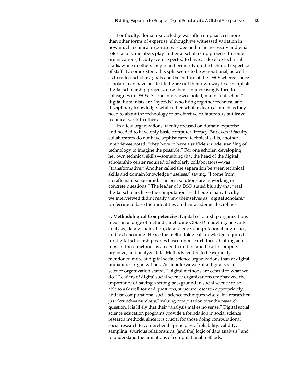For faculty, domain knowledge was often emphasized more than other forms of expertise, although we witnessed variation in how much technical expertise was deemed to be necessary and what roles faculty members play in digital scholarship projects. In some organizations, faculty were expected to have or develop technical skills, while in others they relied primarily on the technical expertise of staff. To some extent, this split seems to be generational, as well as to reflect scholars' goals and the culture of the DSO; whereas once scholars may have needed to figure out their own way to accomplish digital scholarship projects, now they can increasingly turn to colleagues in DSOs. As one interviewee noted, many "old school" digital humanists are "hybrids" who bring together technical and disciplinary knowledge, while other scholars learn as much as they need to about the technology to be effective collaborators but leave technical work to others.

In a few organizations, faculty focused on domain expertise and needed to have only basic computer literacy. But even if faculty collaborators do not have sophisticated technical skills, another interviewee noted, "they have to have a sufficient understanding of technology to imagine the possible." For one scholar, developing her own technical skills—something that the head of the digital scholarship center required of scholarly collaborators—was "transformative." Another called the separation between technical skills and domain knowledge "useless," saying, "I come from a craftsman background. The best solutions are in working on concrete questions." The leader of a DSO stated bluntly that "real digital scholars have the computation"—although many faculty we interviewed didn't really view themselves as "digital scholars," preferring to base their identities on their academic disciplines.

**4. Methodological Competencies.** Digital scholarship organizations focus on a range of methods, including GIS, 3D modeling, network analysis, data visualization, data science, computational linguistics, and text encoding. Hence the methodological knowledge required for digital scholarship varies based on research focus. Cutting across most of these methods is a need to understand how to compile, organize, and analyze data. Methods tended to be explicitly mentioned more at digital social science organizations than at digital humanities organizations. As an interviewee at a digital social science organization stated, "Digital methods are central to what we do." Leaders of digital social science organizations emphasized the importance of having a strong background in social science to be able to ask well-formed questions, structure research appropriately, and use computational social science techniques wisely. If a researcher just "crunches numbers," valuing computation over the research question, it is likely that their "analysis makes no sense." Digital social science education programs provide a foundation in social science research methods, since it is crucial for those doing computational social research to comprehend "principles of reliability, validity, sampling, spurious relationships, [and the] logic of data analysis" and to understand the limitations of computational methods.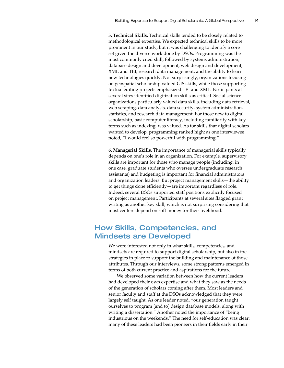**5. Technical Skills.** Technical skills tended to be closely related to methodological expertise. We expected technical skills to be more prominent in our study, but it was challenging to identify a core set given the diverse work done by DSOs. Programming was the most commonly cited skill, followed by systems administration, database design and development, web design and development, XML and TEI, research data management, and the ability to learn new technologies quickly. Not surprisingly, organizations focusing on geospatial scholarship valued GIS skills, while those supporting textual editing projects emphasized TEI and XML. Participants at several sites identified digitization skills as critical. Social science organizations particularly valued data skills, including data retrieval, web scraping, data analysis, data security, system administration, statistics, and research data management. For those new to digital scholarship, basic computer literacy, including familiarity with key terms such as indexing, was valued. As for skills that digital scholars wanted to develop, programming ranked high; as one interviewee noted, "I would feel so powerful with programming."

**6. Managerial Skills.** The importance of managerial skills typically depends on one's role in an organization. For example, supervisory skills are important for those who manage people (including, in one case, graduate students who oversee undergraduate research assistants) and budgeting is important for financial administrators and organization leaders. But project management skills—the ability to get things done efficiently—are important regardless of role. Indeed, several DSOs supported staff positions explicitly focused on project management. Participants at several sites flagged grant writing as another key skill, which is not surprising considering that most centers depend on soft money for their livelihood.

# How Skills, Competencies, and Mindsets are Developed

We were interested not only in what skills, competencies, and mindsets are required to support digital scholarship, but also in the strategies in place to support the building and maintenance of those attributes. Through our interviews, some strong patterns emerged in terms of both current practice and aspirations for the future.

We observed some variation between how the current leaders had developed their own expertise and what they saw as the needs of the generation of scholars coming after them. Most leaders and senior faculty and staff at the DSOs acknowledged that they were largely self taught. As one leader noted, "our generation taught ourselves to program [and to] design database models, along with writing a dissertation." Another noted the importance of "being industrious on the weekends." The need for self-education was clear: many of these leaders had been pioneers in their fields early in their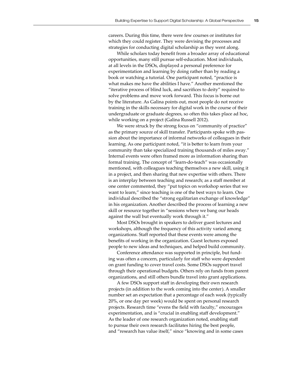careers. During this time, there were few courses or institutes for which they could register. They were devising the processes and strategies for conducting digital scholarship as they went along.

While scholars today benefit from a broader array of educational opportunities, many still pursue self-education. Most individuals, at all levels in the DSOs, displayed a personal preference for experimentation and learning by doing rather than by reading a book or watching a tutorial. One participant noted, "practice is what makes me have the abilities I have." Another mentioned the "iterative process of blind luck, and sacrifices to deity" required to solve problems and move work forward. This focus is borne out by the literature. As Galina points out, most people do not receive training in the skills necessary for digital work in the course of their undergraduate or graduate degrees, so often this takes place ad hoc, while working on a project (Galina Russell 2012).

We were struck by the strong focus on "community of practice" as the primary source of skill transfer. Participants spoke with passion about the importance of informal networks of colleagues in their learning. As one participant noted, "it is better to learn from your community than take specialized training thousands of miles away." Internal events were often framed more as information sharing than formal training. The concept of "learn-do-teach" was occasionally mentioned, with colleagues teaching themselves a new skill, using it in a project, and then sharing that new expertise with others. There is an interplay between teaching and research; as a staff member at one center commented, they "put topics on workshop series that we want to learn," since teaching is one of the best ways to learn. One individual described the "strong egalitarian exchange of knowledge" in his organization. Another described the process of learning a new skill or resource together in "sessions where we bang our heads against the wall but eventually work through it."

Most DSOs brought in speakers to deliver guest lectures and workshops, although the frequency of this activity varied among organizations. Staff reported that these events were among the benefits of working in the organization. Guest lectures exposed people to new ideas and techniques, and helped build community.

Conference attendance was supported in principle, but funding was often a concern, particularly for staff who were dependent on grant funding to cover travel costs. Some DSOs support travel through their operational budgets. Others rely on funds from parent organizations, and still others bundle travel into grant applications.

A few DSOs support staff in developing their own research projects (in addition to the work coming into the center). A smaller number set an expectation that a percentage of each week (typically 20%, or one day per week) would be spent on personal research projects. Research time "evens the field with faculty," encourages experimentation, and is "crucial in enabling staff development." As the leader of one research organization noted, enabling staff to pursue their own research facilitates hiring the best people, and "research has value itself," since "knowing and in some cases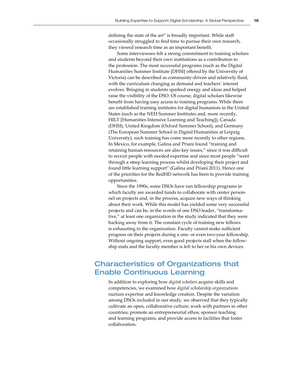defining the state of the art" is broadly important. While staff occasionally struggled to find time to pursue their own research, they viewed research time as an important benefit.

Some interviewees felt a strong commitment to training scholars and students beyond their own institutions as a contribution to the profession. The most successful programs (such as the Digital Humanities Summer Institute [DHSI] offered by the University of Victoria) can be described as community-driven and relatively fluid, with the curriculum changing as demand and teachers' interest evolves. Bringing in students sparked energy and ideas and helped raise the visibility of the DSO. Of course, digital scholars likewise benefit from having easy access to training programs. While there are established training institutes for digital humanists in the United States (such as the NEH Summer Institutes and, more recently, HILT [Humanities Intensive Learning and Teaching]), Canada (DHSI), United Kingdom (Oxford Summer School), and Germany (The European Summer School in Digital Humanities at Leipzig University), such training has come more recently to other regions. In Mexico, for example, Galina and Priani found "training and retaining human resources are also key issues," since it was difficult to recruit people with needed expertise and since most people "went through a steep learning process whilst developing their project and found little learning support" (Galina and Priani 2011). Hence one of the priorities for the RedHD network has been to provide training opportunities.

Since the 1990s, some DSOs have run fellowship programs in which faculty are awarded funds to collaborate with center personnel on projects and, in the process, acquire new ways of thinking about their work. While this model has yielded some very successful projects and can be, in the words of one DSO leader, "transformative," at least one organization in the study indicated that they were backing away from it. The constant cycle of training new fellows is exhausting to the organization. Faculty cannot make sufficient progress on their projects during a one- or even two-year fellowship. Without ongoing support, even good projects stall when the fellowship ends and the faculty member is left to her or his own devices.

# Characteristics of Organizations that Enable Continuous Learning

In addition to exploring how *digital scholars* acquire skills and competencies, we examined how *digital scholarship organizations* nurture expertise and knowledge creation. Despite the variation among DSOs included in our study, we observed that they typically cultivate an open, collaborative culture; work with partners in other countries; promote an entrepreneurial ethos; sponsor teaching and learning programs; and provide access to facilities that foster collaboration.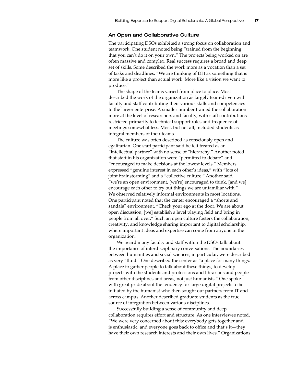#### An Open and Collaborative Culture

The participating DSOs exhibited a strong focus on collaboration and teamwork. One student noted being "trained from the beginning that you can't do it on your own." The projects being worked on are often massive and complex. Real success requires a broad and deep set of skills. Some described the work more as a vocation than a set of tasks and deadlines. "We are thinking of DH as something that is more like a project than actual work. More like a vision we want to produce."

The shape of the teams varied from place to place. Most described the work of the organization as largely team-driven with faculty and staff contributing their various skills and competencies to the larger enterprise. A smaller number framed the collaboration more at the level of researchers and faculty, with staff contributions restricted primarily to technical support roles and frequency of meetings somewhat less. Most, but not all, included students as integral members of their teams.

The culture was often described as consciously open and egalitarian. One staff participant said he felt treated as an "intellectual partner" with no sense of "hierarchy." Another noted that staff in his organization were "permitted to debate" and "encouraged to make decisions at the lowest levels." Members expressed "genuine interest in each other's ideas," with "lots of joint brainstorming" and a "collective culture." Another said, "we're an open environment, [we're] encouraged to think, [and we] encourage each other to try out things we are unfamiliar with." We observed relatively informal environments in most locations. One participant noted that the center encouraged a "shorts and sandals" environment. "Check your ego at the door. We are about open discussion; [we] establish a level playing field and bring in people from all over." Such an open culture fosters the collaboration, creativity, and knowledge sharing important to digital scholarship, where important ideas and expertise can come from anyone in the organization.

We heard many faculty and staff within the DSOs talk about the importance of interdisciplinary conversations. The boundaries between humanities and social sciences, in particular, were described as very "fluid." One described the center as "a place for many things. A place to gather people to talk about these things, to develop projects with the students and professions and librarians and people from other disciplines and areas, not just humanists." One spoke with great pride about the tendency for large digital projects to be initiated by the humanist who then sought out partners from IT and across campus. Another described graduate students as the true source of integration between various disciplines.

Successfully building a sense of community and deep collaboration requires effort and structure. As one interviewee noted, "We were very concerned about this: everybody gets together and is enthusiastic, and everyone goes back to office and that's it—they have their own research interests and their own lives." Organizations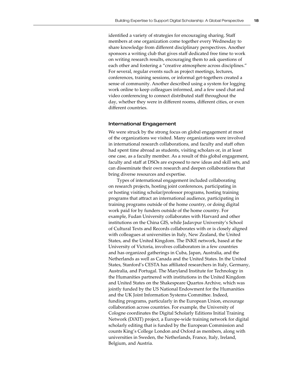identified a variety of strategies for encouraging sharing. Staff members at one organization come together every Wednesday to share knowledge from different disciplinary perspectives. Another sponsors a writing club that gives staff dedicated free time to work on writing research results, encouraging them to ask questions of each other and fostering a "creative atmosphere across disciplines." For several, regular events such as project meetings, lectures, conferences, training sessions, or informal get-togethers created a sense of community. Another described using a system for logging work online to keep colleagues informed, and a few used chat and video conferencing to connect distributed staff throughout the day, whether they were in different rooms, different cities, or even different countries.

#### International Engagement

We were struck by the strong focus on global engagement at most of the organizations we visited. Many organizations were involved in international research collaborations, and faculty and staff often had spent time abroad as students, visiting scholars or, in at least one case, as a faculty member. As a result of this global engagement, faculty and staff at DSOs are exposed to new ideas and skill sets, and can disseminate their own research and deepen collaborations that bring diverse resources and expertise.

Types of international engagement included collaborating on research projects, hosting joint conferences, participating in or hosting visiting scholar/professor programs, hosting training programs that attract an international audience, participating in training programs outside of the home country, or doing digital work paid for by funders outside of the home country. For example, Fudan University collaborates with Harvard and other institutions on the China GIS, while Jadavpur University's School of Cultural Texts and Records collaborates with or is closely aligned with colleagues at universities in Italy, New Zealand, the United States, and the United Kingdom. The INKE network, based at the University of Victoria, involves collaborators in a few countries and has organized gatherings in Cuba, Japan, Australia, and the Netherlands as well as Canada and the United States. In the United States, Stanford's CESTA has affiliated researchers in Italy, Germany, Australia, and Portugal. The Maryland Institute for Technology in the Humanities partnered with institutions in the United Kingdom and United States on the Shakespeare Quartos Archive, which was jointly funded by the US National Endowment for the Humanities and the UK Joint Information Systems Committee. Indeed, funding programs, particularly in the European Union, encourage collaboration across countries. For example, the University of Cologne coordinates the Digital Scholarly Editions Initial Training Network (DiXIT) project, a Europe-wide training network for digital scholarly editing that is funded by the European Commission and counts King's College London and Oxford as members, along with universities in Sweden, the Netherlands, France, Italy, Ireland, Belgium, and Austria.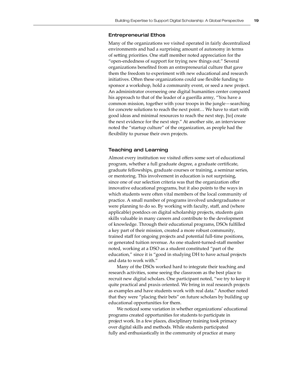#### Entrepreneurial Ethos

Many of the organizations we visited operated in fairly decentralized environments and had a surprising amount of autonomy in terms of setting priorities. One staff member noted appreciation for the "open-endedness of support for trying new things out." Several organizations benefited from an entrepreneurial culture that gave them the freedom to experiment with new educational and research initiatives. Often these organizations could use flexible funding to sponsor a workshop, hold a community event, or seed a new project. An administrator overseeing one digital humanities center compared his approach to that of the leader of a guerilla army, "You have a common mission, together with your troops in the jungle—searching for concrete solutions to reach the next point… We have to start with good ideas and minimal resources to reach the next step, [to] create the next evidence for the next step." At another site, an interviewee noted the "startup culture" of the organization, as people had the flexibility to pursue their own projects.

#### Teaching and Learning

Almost every institution we visited offers some sort of educational program, whether a full graduate degree, a graduate certificate, graduate fellowships, graduate courses or training, a seminar series, or mentoring. This involvement in education is not surprising, since one of our selection criteria was that the organization offer innovative educational programs, but it also points to the ways in which students were often vital members of the local community of practice. A small number of programs involved undergraduates or were planning to do so. By working with faculty, staff, and (where applicable) postdocs on digital scholarship projects, students gain skills valuable in many careers and contribute to the development of knowledge. Through their educational programs, DSOs fulfilled a key part of their mission, created a more robust community, trained staff for ongoing projects and potential full-time positions, or generated tuition revenue. As one student-turned-staff member noted, working at a DSO as a student constituted "part of the education," since it is "good in studying DH to have actual projects and data to work with."

Many of the DSOs worked hard to integrate their teaching and research activities, some seeing the classroom as the best place to recruit new digital scholars. One participant noted, "we try to keep it quite practical and praxis oriented. We bring in real research projects as examples and have students work with real data." Another noted that they were "placing their bets" on future scholars by building up educational opportunities for them.

We noticed some variation in whether organizations' educational programs created opportunities for students to participate in project work. In a few places, disciplinary training took primacy over digital skills and methods. While students participated fully and enthusiastically in the community of practice at many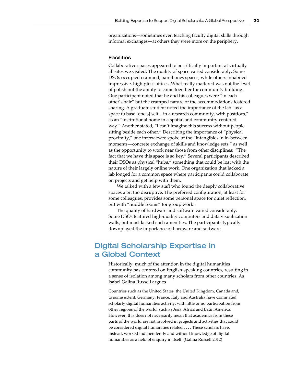organizations—sometimes even teaching faculty digital skills through informal exchanges—at others they were more on the periphery.

#### **Facilities**

Collaborative spaces appeared to be critically important at virtually all sites we visited. The quality of space varied considerably. Some DSOs occupied cramped, bare-bones spaces, while others inhabited impressive, high-gloss offices. What really mattered was not the level of polish but the ability to come together for community building. One participant noted that he and his colleagues were "in each other's hair" but the cramped nature of the accommodations fostered sharing. A graduate student noted the importance of the lab "as a space to base [one's] self—in a research community, with postdocs," as an "institutional home in a spatial and community-centered way." Another stated, "I can't imagine this success without people sitting beside each other." Describing the importance of "physical proximity," one interviewee spoke of the "intangibles in in-between moments—concrete exchange of skills and knowledge sets," as well as the opportunity to work near those from other disciplines: "The fact that we have this space is so key." Several participants described their DSOs as physical "hubs," something that could be lost with the nature of their largely online work. One organization that lacked a lab longed for a common space where participants could collaborate on projects and get help with them.

We talked with a few staff who found the deeply collaborative spaces a bit too disruptive. The preferred configuration, at least for some colleagues, provides some personal space for quiet reflection, but with "huddle rooms" for group work.

The quality of hardware and software varied considerably. Some DSOs featured high-quality computers and data visualization walls, but most lacked such amenities. The participants typically downplayed the importance of hardware and software.

# Digital Scholarship Expertise in a Global Context

Historically, much of the attention in the digital humanities community has centered on English-speaking countries, resulting in a sense of isolation among many scholars from other countries. As Isabel Galina Russell argues

Countries such as the United States, the United Kingdom, Canada and, to some extent, Germany, France, Italy and Australia have dominated scholarly digital humanities activity, with little or no participation from other regions of the world, such as Asia, Africa and Latin America. However, this does not necessarily mean that academics from these parts of the world are not involved in projects and activities that could be considered digital humanities related . . . . These scholars have, instead, worked independently and without knowledge of digital humanities as a field of enquiry in itself. (Galina Russell 2012)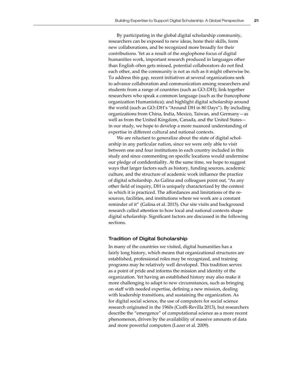By participating in the global digital scholarship community, researchers can be exposed to new ideas, hone their skills, form new collaborations, and be recognized more broadly for their contributions. Yet as a result of the anglophone focus of digital humanities work, important research produced in languages other than English often gets missed, potential collaborators do not find each other, and the community is not as rich as it might otherwise be. To address this gap, recent initiatives at several organizations seek to advance collaboration and communication among researchers and students from a range of countries (such as GO::DH); link together researchers who speak a common language (such as the francophone organization Humanistica); and highlight digital scholarship around the world (such as GO::DH's "Around DH in 80 Days"). By including organizations from China, India, Mexico, Taiwan, and Germany—as well as from the United Kingdom, Canada, and the United States in our study, we hope to develop a more nuanced understanding of expertise in different cultural and national contexts.

We are reluctant to generalize about the state of digital scholarship in any particular nation, since we were only able to visit between one and four institutions in each country included in this study and since commenting on specific locations would undermine our pledge of confidentiality. At the same time, we hope to suggest ways that larger factors such as history, funding sources, academic culture, and the structure of academic work influence the practice of digital scholarship. As Galina and colleagues point out, "As any other field of inquiry, DH is uniquely characterized by the context in which it is practiced. The affordances and limitations of the resources, facilities, and institutions where we work are a constant reminder of it" (Galina et al. 2015). Our site visits and background research called attention to how local and national contexts shape digital scholarship. Significant factors are discussed in the following sections.

#### Tradition of Digital Scholarship

In many of the countries we visited, digital humanities has a fairly long history, which means that organizational structures are established, professional roles may be recognized, and training programs may be relatively well developed. This tradition serves as a point of pride and informs the mission and identity of the organization. Yet having an established history may also make it more challenging to adapt to new circumstances, such as bringing on staff with needed expertise, defining a new mission, dealing with leadership transitions, and sustaining the organization. As for digital social science, the use of computers for social science research originated in the 1960s (Cioffi-Revilla 2013), but researchers describe the "emergence" of computational science as a more recent phenomenon, driven by the availability of massive amounts of data and more powerful computers (Lazer et al. 2009).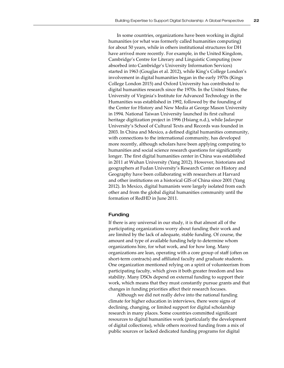In some countries, organizations have been working in digital humanities (or what was formerly called humanities computing) for about 50 years, while in others institutional structures for DH have arrived more recently. For example, in the United Kingdom, Cambridge's Centre for Literary and Linguistic Computing (now absorbed into Cambridge's University Information Services) started in 1963 (Gouglas et al. 2012), while King's College London's involvement in digital humanities began in the early 1970s (Kings College London 2015) and Oxford University has contributed to digital humanities research since the 1970s. In the United States, the University of Virginia's Institute for Advanced Technology in the Humanities was established in 1992, followed by the founding of the Center for History and New Media at George Mason University in 1994. National Taiwan University launched its first cultural heritage digitization project in 1996 (Hsiang n.d.), while Jadavpur University's School of Cultural Texts and Records was founded in 2003. In China and Mexico, a defined digital humanities community, with connections to the international community, has developed more recently, although scholars have been applying computing to humanities and social science research questions for significantly longer. The first digital humanities center in China was established in 2011 at Wuhan University (Yang 2012). However, historians and geographers at Fudan University's Research Center on History and Geography have been collaborating with researchers at Harvard and other institutions on a historical GIS of China since 2001 (Yang 2012). In Mexico, digital humanists were largely isolated from each other and from the global digital humanities community until the formation of RedHD in June 2011.

#### Funding

If there is any universal in our study, it is that almost all of the participating organizations worry about funding their work and are limited by the lack of adequate, stable funding. Of course, the amount and type of available funding help to determine whom organizations hire, for what work, and for how long. Many organizations are lean, operating with a core group of staff (often on short-term contracts) and affiliated faculty and graduate students. One organization mentioned relying on a spirit of volunteerism from participating faculty, which gives it both greater freedom and less stability. Many DSOs depend on external funding to support their work, which means that they must constantly pursue grants and that changes in funding priorities affect their research focuses.

Although we did not really delve into the national funding climate for higher education in interviews, there were signs of declining, changing, or limited support for digital scholarship research in many places. Some countries committed significant resources to digital humanities work (particularly the development of digital collections), while others received funding from a mix of public sources or lacked dedicated funding programs for digital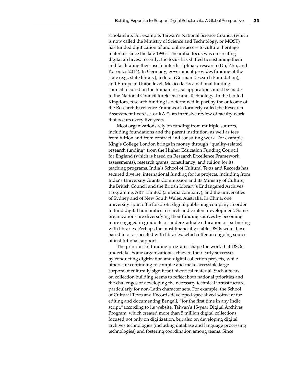scholarship. For example, Taiwan's National Science Council (which is now called the Ministry of Science and Technology, or MOST) has funded digitization of and online access to cultural heritage materials since the late 1990s. The initial focus was on creating digital archives; recently, the focus has shifted to sustaining them and facilitating their use in interdisciplinary research (Du, Zhu, and Koronios 2014). In Germany, government provides funding at the state (e.g., state library), federal (German Research Foundation), and European Union level. Mexico lacks a national funding council focused on the humanities, so applications must be made to the National Council for Science and Technology. In the United Kingdom, research funding is determined in part by the outcome of the Research Excellence Framework (formerly called the Research Assessment Exercise, or RAE), an intensive review of faculty work that occurs every five years.

Most organizations rely on funding from multiple sources, including foundations and the parent institution, as well as fees from tuition and from contract and consulting work. For example, King's College London brings in money through "quality-related research funding" from the Higher Education Funding Council for England (which is based on Research Excellence Framework assessments), research grants, consultancy, and tuition for its teaching programs. India's School of Cultural Texts and Records has secured diverse, international funding for its projects, including from India's University Grants Commission and its Ministry of Culture, the British Council and the British Library's Endangered Archives Programme, ABP Limited (a media company), and the universities of Sydney and of New South Wales, Australia. In China, one university spun off a for-profit digital publishing company in order to fund digital humanities research and content development. Some organizations are diversifying their funding sources by becoming more engaged in graduate or undergraduate education or partnering with libraries. Perhaps the most financially stable DSOs were those based in or associated with libraries, which offer an ongoing source of institutional support.

The priorities of funding programs shape the work that DSOs undertake. Some organizations achieved their early successes by conducting digitization and digital collection projects, while others are continuing to compile and make accessible large corpora of culturally significant historical material. Such a focus on collection building seems to reflect both national priorities and the challenges of developing the necessary technical infrastructure, particularly for non-Latin character sets. For example, the School of Cultural Texts and Records developed specialized software for editing and documenting Bengali, "for the first time in any Indic script,"according to its website. Taiwan's 15-year Digital Archives Program, which created more than 5 million digital collections, focused not only on digitization, but also on developing digital archives technologies (including database and language processing technologies) and fostering coordination among teams. Since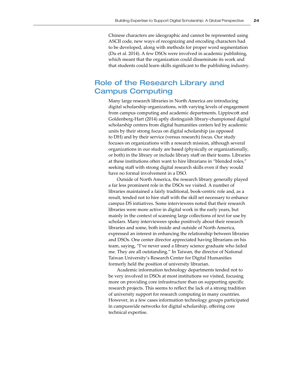Chinese characters are ideographic and cannot be represented using ASCII code, new ways of recognizing and encoding characters had to be developed, along with methods for proper word segmentation (Du et al. 2014). A few DSOs were involved in academic publishing, which meant that the organization could disseminate its work and that students could learn skills significant to the publishing industry.

# Role of the Research Library and Campus Computing

Many large research libraries in North America are introducing digital scholarship organizations, with varying levels of engagement from campus computing and academic departments. Lippincott and Goldenberg-Hart (2014) aptly distinguish library-championed digital scholarship centers from digital humanities centers led by academic units by their strong focus on digital scholarship (as opposed to DH) and by their service (versus research) focus. Our study focuses on organizations with a research mission, although several organizations in our study are based (physically or organizationally, or both) in the library or include library staff on their teams. Libraries at these institutions often want to hire librarians in "blended roles," seeking staff with strong digital research skills even if they would have no formal involvement in a DSO.

Outside of North America, the research library generally played a far less prominent role in the DSOs we visited. A number of libraries maintained a fairly traditional, book-centric role and, as a result, tended not to hire staff with the skill set necessary to enhance campus DS initiatives. Some interviewees noted that their research libraries were more active in digital work in the early years, but mainly in the context of scanning large collections of text for use by scholars. Many interviewees spoke positively about their research libraries and some, both inside and outside of North America, expressed an interest in enhancing the relationship between libraries and DSOs. One center director appreciated having librarians on his team, saying, "I've never used a library science graduate who failed me. They are all outstanding." In Taiwan, the director of National Taiwan University's Research Center for Digital Humanities formerly held the position of university librarian.

Academic information technology departments tended not to be very involved in DSOs at most institutions we visited, focusing more on providing core infrastructure than on supporting specific research projects. This seems to reflect the lack of a strong tradition of university support for research computing in many countries. However, in a few cases information technology groups participated in campuswide networks for digital scholarship, offering core technical expertise.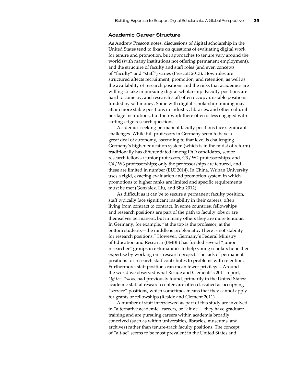#### Academic Career Structure

As Andrew Prescott notes, discussions of digital scholarship in the United States tend to fixate on questions of evaluating digital work for tenure and promotion, but approaches to tenure vary around the world (with many institutions not offering permanent employment), and the structure of faculty and staff roles (and even concepts of "faculty" and "staff") varies (Prescott 2013). How roles are structured affects recruitment, promotion, and retention, as well as the availability of research positions and the risks that academics are willing to take in pursuing digital scholarship. Faculty positions are hard to come by, and research staff often occupy unstable positions funded by soft money. Some with digital scholarship training may attain more stable positions in industry, libraries, and other cultural heritage institutions, but their work there often is less engaged with cutting-edge research questions.

Academics seeking permanent faculty positions face significant challenges. While full professors in Germany seem to have a great deal of autonomy, ascending to that level is challenging. Germany's higher education system (which is in the midst of reform) traditionally has differentiated among PhD candidates, senior research fellows / junior professors, C3 / W2 professorships, and C4 / W3 professorships; only the professorships are tenured, and these are limited in number (EUI 2014). In China, Wuhan University uses a rigid, exacting evaluation and promotion system in which promotions to higher ranks are limited and specific requirements must be met (González, Liu, and Shu 2012).

As difficult as it can be to secure a permanent faculty position, staff typically face significant instability in their careers, often living from contract to contract. In some countries, fellowships and research positions are part of the path to faculty jobs or are themselves permanent, but in many others they are more tenuous. In Germany, for example, "at the top is the professor, at the bottom students—the middle is problematic. There is not stability for research positions." However, Germany's Federal Ministry of Education and Research (BMBF) has funded several "junior researcher" groups in eHumanities to help young scholars hone their expertise by working on a research project. The lack of permanent positions for research staff contributes to problems with retention. Furthermore, staff positions can mean fewer privileges. Around the world we observed what Reside and Clements's 2011 report, *Off the Tracks,* had previously found, primarily in the United States: academic staff at research centers are often classified as occupying "service" positions, which sometimes means that they cannot apply for grants or fellowships (Reside and Clement 2011).

A number of staff interviewed as part of this study are involved in "alternative academic" careers, or "alt-ac"—they have graduate training and are pursuing careers within academia broadly conceived (such as within universities, libraries, museums, and archives) rather than tenure-track faculty positions. The concept of "alt-ac" seems to be most prevalent in the United States and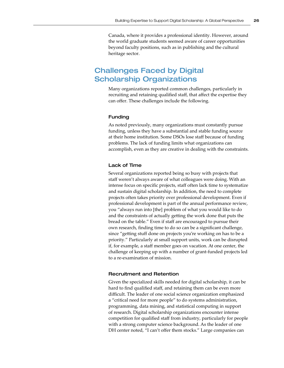Canada, where it provides a professional identity. However, around the world graduate students seemed aware of career opportunities beyond faculty positions, such as in publishing and the cultural heritage sector.

# Challenges Faced by Digital Scholarship Organizations

Many organizations reported common challenges, particularly in recruiting and retaining qualified staff, that affect the expertise they can offer. These challenges include the following.

#### Funding

As noted previously, many organizations must constantly pursue funding, unless they have a substantial and stable funding source at their home institution. Some DSOs lose staff because of funding problems. The lack of funding limits what organizations can accomplish, even as they are creative in dealing with the constraints.

#### Lack of Time

Several organizations reported being so busy with projects that staff weren't always aware of what colleagues were doing. With an intense focus on specific projects, staff often lack time to systematize and sustain digital scholarship. In addition, the need to complete projects often takes priority over professional development. Even if professional development is part of the annual performance review, you "always run into [the] problem of what you would like to do and the constraints of actually getting the work done that puts the bread on the table." Even if staff are encouraged to pursue their own research, finding time to do so can be a significant challenge, since "getting stuff done on projects you're working on has to be a priority." Particularly at small support units, work can be disrupted if, for example, a staff member goes on vacation. At one center, the challenge of keeping up with a number of grant-funded projects led to a re-examination of mission.

#### Recruitment and Retention

Given the specialized skills needed for digital scholarship, it can be hard to find qualified staff, and retaining them can be even more difficult. The leader of one social science organization emphasized a "critical need for more people" to do systems administration, programming, data mining, and statistical computing in support of research. Digital scholarship organizations encounter intense competition for qualified staff from industry, particularly for people with a strong computer science background. As the leader of one DH center noted, "I can't offer them stocks." Large companies can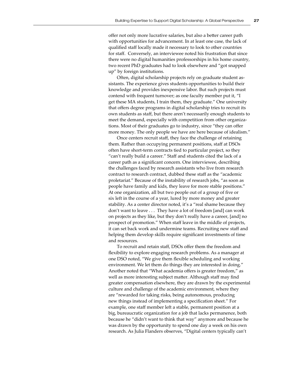offer not only more lucrative salaries, but also a better career path with opportunities for advancement. In at least one case, the lack of qualified staff locally made it necessary to look to other countries for staff. Conversely, an interviewee noted his frustration that since there were no digital humanities professorships in his home country, two recent PhD graduates had to look elsewhere and "got snapped up" by foreign institutions.

Often, digital scholarship projects rely on graduate student assistants. The experience gives students opportunities to build their knowledge and provides inexpensive labor. But such projects must contend with frequent turnover; as one faculty member put it, "I get these MA students, I train them, they graduate." One university that offers degree programs in digital scholarship tries to recruit its own students as staff, but there aren't necessarily enough students to meet the demand, especially with competition from other organizations. Most of their graduates go to industry, since "they can offer more money. The only people we have are here because of idealism."

Once centers recruit staff, they face the challenge of retaining them. Rather than occupying permanent positions, staff at DSOs often have short-term contracts tied to particular project, so they "can't really build a career." Staff and students cited the lack of a career path as a significant concern. One interviewee, describing the challenges faced by research assistants who live from research contract to research contract, dubbed these staff as the "academic proletariat." Because of the instability of research jobs, "as soon as people have family and kids, they leave for more stable positions." At one organization, all but two people out of a group of five or six left in the course of a year, lured by more money and greater stability. As a center director noted, it's a "real shame because they don't want to leave . . . They have a lot of freedom [and] can work on projects as they like, but they don't really have a career, [and] no prospect of promotion." When staff leave in the middle of projects, it can set back work and undermine teams. Recruiting new staff and helping them develop skills require significant investments of time and resources.

To recruit and retain staff, DSOs offer them the freedom and flexibility to explore engaging research problems. As a manager at one DSO noted, "We give them flexible scheduling and working environment. We let them do things they are interested in doing." Another noted that "What academia offers is greater freedom," as well as more interesting subject matter. Although staff may find greater compensation elsewhere, they are drawn by the experimental culture and challenge of the academic environment, where they are "rewarded for taking risks, being autonomous, producing new things instead of implementing a specification sheet." For example, one staff member left a stable, permanent position at a big, bureaucratic organization for a job that lacks permanence, both because he "didn't want to think that way" anymore and because he was drawn by the opportunity to spend one day a week on his own research. As Julia Flanders observes, "Digital centers typically can't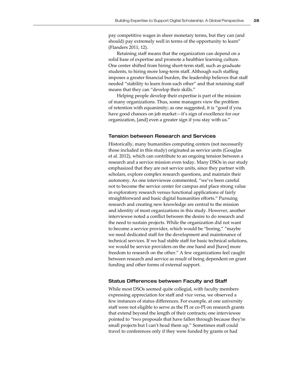pay competitive wages in sheer monetary terms, but they can (and should) pay extremely well in terms of the opportunity to learn" (Flanders 2011, 12).

Retaining staff means that the organization can depend on a solid base of expertise and promote a healthier learning culture. One center shifted from hiring short-term staff, such as graduate students, to hiring more long-term staff. Although such staffing imposes a greater financial burden, the leadership believes that staff needed "stability to learn from each other" and that retaining staff means that they can "develop their skills."

Helping people develop their expertise is part of the mission of many organizations. Thus, some managers view the problem of retention with equanimity; as one suggested, it is "good if you have good chances on job market—it's sign of excellence for our organization, [and] even a greater sign if you stay with us."

#### Tension between Research and Services

Historically, many humanities computing centers (not necessarily those included in this study) originated as service units (Gouglas et al. 2012), which can contribute to an ongoing tension between a research and a service mission even today. Many DSOs in our study emphasized that they are not service units, since they partner with scholars, explore complex research questions, and maintain their autonomy. As one interviewee commented, "we've been careful not to become the service center for campus and place strong value in exploratory research versus functional applications of fairly straightforward and basic digital humanities efforts." Pursuing research and creating new knowledge are central to the mission and identity of most organizations in this study. However, another interviewee noted a conflict between the desire to do research and the need to sustain projects. While the organization did not want to become a service provider, which would be "boring," "maybe we need dedicated staff for the development and maintenance of technical services. If we had stable staff for basic technical solutions, we would be service providers on the one hand and [have] more freedom to research on the other." A few organizations feel caught between research and service as result of being dependent on grant funding and other forms of external support.

#### Status Differences between Faculty and Staff

While most DSOs seemed quite collegial, with faculty members expressing appreciation for staff and vice versa, we observed a few instances of status differences. For example, at one university staff were not eligible to serve as the PI or co-PI on research grants that extend beyond the length of their contracts; one interviewee pointed to "two proposals that have fallen through because they're small projects but I can't head them up." Sometimes staff could travel to conferences only if they were funded by grants or had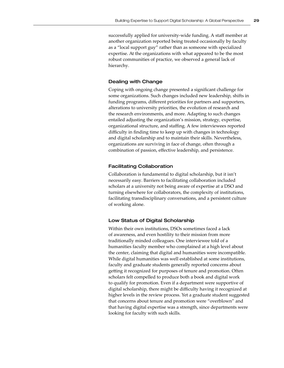successfully applied for university-wide funding. A staff member at another organization reported being treated occasionally by faculty as a "local support guy" rather than as someone with specialized expertise. At the organizations with what appeared to be the most robust communities of practice, we observed a general lack of hierarchy.

#### Dealing with Change

Coping with ongoing change presented a significant challenge for some organizations. Such changes included new leadership, shifts in funding programs, different priorities for partners and supporters, alterations to university priorities, the evolution of research and the research environments, and more. Adapting to such changes entailed adjusting the organization's mission, strategy, expertise, organizational structure, and staffing. A few interviewees reported difficulty in finding time to keep up with changes in technology and digital scholarship and to maintain their skills. Nevertheless, organizations are surviving in face of change, often through a combination of passion, effective leadership, and persistence.

#### Facilitating Collaboration

Collaboration is fundamental to digital scholarship, but it isn't necessarily easy. Barriers to facilitating collaboration included scholars at a university not being aware of expertise at a DSO and turning elsewhere for collaborators, the complexity of institutions, facilitating transdisciplinary conversations, and a persistent culture of working alone.

#### Low Status of Digital Scholarship

Within their own institutions, DSOs sometimes faced a lack of awareness, and even hostility to their mission from more traditionally minded colleagues. One interviewee told of a humanities faculty member who complained at a high level about the center, claiming that digital and humanities were incompatible. While digital humanities was well established at some institutions, faculty and graduate students generally reported concerns about getting it recognized for purposes of tenure and promotion. Often scholars felt compelled to produce both a book and digital work to qualify for promotion. Even if a department were supportive of digital scholarship, there might be difficulty having it recognized at higher levels in the review process. Yet a graduate student suggested that concerns about tenure and promotion were "overblown" and that having digital expertise was a strength, since departments were looking for faculty with such skills.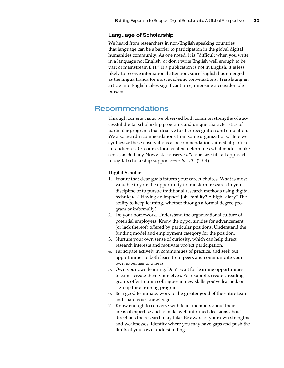#### Language of Scholarship

We heard from researchers in non-English speaking countries that language can be a barrier to participation in the global digital humanities community. As one noted, it is "difficult when you write in a language not English, or don't write English well enough to be part of mainstream DH." If a publication is not in English, it is less likely to receive international attention, since English has emerged as the lingua franca for most academic conversations. Translating an article into English takes significant time, imposing a considerable burden.

## Recommendations

Through our site visits, we observed both common strengths of successful digital scholarship programs and unique characteristics of particular programs that deserve further recognition and emulation. We also heard recommendations from some organizations. Here we synthesize these observations as recommendations aimed at particular audiences. Of course, local context determines what models make sense; as Bethany Nowviskie observes, "a one-size-fits-all approach to digital scholarship support *never fits all"* (2014).

#### **Digital Scholars**

- 1. Ensure that clear goals inform your career choices. What is most valuable to you: the opportunity to transform research in your discipline or to pursue traditional research methods using digital techniques? Having an impact? Job stability? A high salary? The ability to keep learning, whether through a formal degree program or informally?
- 2. Do your homework. Understand the organizational culture of potential employers. Know the opportunities for advancement (or lack thereof) offered by particular positions. Understand the funding model and employment category for the position.
- 3. Nurture your own sense of curiosity, which can help direct research interests and motivate project participation.
- 4. Participate actively in communities of practice, and seek out opportunities to both learn from peers and communicate your own expertise to others.
- 5. Own your own learning. Don't wait for learning opportunities to come: create them yourselves. For example, create a reading group, offer to train colleagues in new skills you've learned, or sign up for a training program.
- 6. Be a good teammate; work to the greater good of the entire team and share your knowledge.
- 7. Know enough to converse with team members about their areas of expertise and to make well-informed decisions about directions the research may take. Be aware of your own strengths and weaknesses. Identify where you may have gaps and push the limits of your own understanding.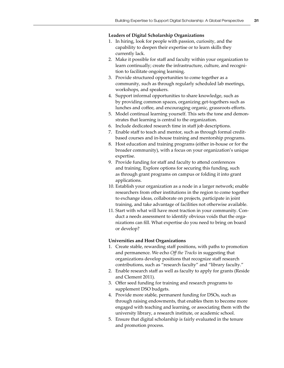#### **Leaders of Digital Scholarship Organizations**

- 1. In hiring, look for people with passion, curiosity, and the capability to deepen their expertise or to learn skills they currently lack.
- 2. Make it possible for staff and faculty within your organization to learn continually; create the infrastructure, culture, and recognition to facilitate ongoing learning.
- 3. Provide structured opportunities to come together as a community, such as through regularly scheduled lab meetings, workshops, and speakers.
- 4. Support informal opportunities to share knowledge, such as by providing common spaces, organizing get-togethers such as lunches and coffee, and encouraging organic, grassroots efforts.
- 5. Model continual learning yourself. This sets the tone and demonstrates that learning is central to the organization.
- 6. Include dedicated research time in staff job descriptions.
- 7. Enable staff to teach and mentor, such as through formal creditbased courses and in-house training and mentorship programs.
- 8. Host education and training programs (either in-house or for the broader community), with a focus on your organization's unique expertise.
- 9. Provide funding for staff and faculty to attend conferences and training. Explore options for securing this funding, such as through grant programs on campus or folding it into grant applications.
- 10. Establish your organization as a node in a larger network; enable researchers from other institutions in the region to come together to exchange ideas, collaborate on projects, participate in joint training, and take advantage of facilities not otherwise available.
- 11. Start with what will have most traction in your community. Conduct a needs assessment to identify obvious voids that the organizations can fill. What expertise do you need to bring on board or develop?

#### **Universities and Host Organizations**

- 1. Create stable, rewarding staff positions, with paths to promotion and permanence. We echo *Off the Tracks* in suggesting that organizations develop positions that recognize staff research contributions, such as "research faculty" and "library faculty."
- 2. Enable research staff as well as faculty to apply for grants (Reside and Clement 2011).
- 3. Offer seed funding for training and research programs to supplement DSO budgets.
- 4. Provide more stable, permanent funding for DSOs, such as through raising endowments, that enables them to become more engaged with teaching and learning, or associating them with the university library, a research institute, or academic school.
- 5. Ensure that digital scholarship is fairly evaluated in the tenure and promotion process.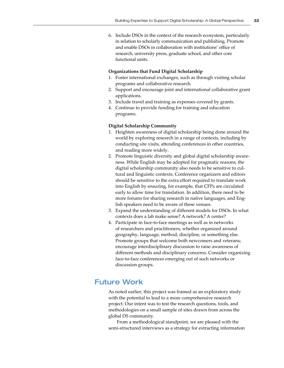6. Include DSOs in the context of the research ecosystem, particularly in relation to scholarly communication and publishing. Promote and enable DSOs in collaboration with institutions' office of research, university press, graduate school, and other core functional units.

#### **Organizations that Fund Digital Scholarship**

- 1. Foster international exchanges, such as through visiting scholar programs and collaborative research.
- 2. Support and encourage joint and international collaborative grant applications.
- 3. Include travel and training as expenses covered by grants.
- 4. Continue to provide funding for training and education programs.

#### **Digital Scholarship Community**

- 1. Heighten awareness of digital scholarship being done around the world by exploring research in a range of contexts, including by conducting site visits, attending conferences in other countries, and reading more widely.
- 2. Promote linguistic diversity and global digital scholarship awareness. While English may be adopted for pragmatic reasons, the digital scholarship community also needs to be sensitive to cultural and linguistic contexts. Conference organizers and editors should be sensitive to the extra effort required to translate work into English by ensuring, for example, that CFPs are circulated early to allow time for translation. In addition, there need to be more forums for sharing research in native languages, and English speakers need to be aware of these venues.
- 3. Expand the understanding of different models for DSOs. In what contexts does a lab make sense? A network? A center?
- 4. Participate in face-to-face meetings as well as in networks of researchers and practitioners, whether organized around geography, language, method, discipline, or something else. Promote groups that welcome both newcomers and veterans; encourage interdisciplinary discussion to raise awareness of different methods and disciplinary concerns. Consider organizing face-to-face conferences emerging out of such networks or discussion groups.

# Future Work

As noted earlier, this project was framed as an exploratory study with the potential to lead to a more comprehensive research project. Our intent was to test the research questions, tools, and methodologies on a small sample of sites drawn from across the global DS community.

From a methodological standpoint, we are pleased with the semi-structured interviews as a strategy for extracting information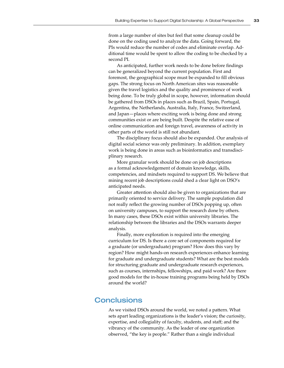from a large number of sites but feel that some cleanup could be done on the coding used to analyze the data. Going forward, the PIs would reduce the number of codes and eliminate overlap. Additional time would be spent to allow the coding to be checked by a second PI.

As anticipated, further work needs to be done before findings can be generalized beyond the current population. First and foremost, the geographical scope must be expanded to fill obvious gaps. The strong focus on North American sites was reasonable given the travel logistics and the quality and prominence of work being done. To be truly global in scope, however, information should be gathered from DSOs in places such as Brazil, Spain, Portugal, Argentina, the Netherlands, Australia, Italy, France, Switzerland, and Japan—places where exciting work is being done and strong communities exist or are being built. Despite the relative ease of online communication and foreign travel, awareness of activity in other parts of the world is still not abundant.

The disciplinary focus should also be expanded. Our analysis of digital social science was only preliminary. In addition, exemplary work is being done in areas such as bioinformatics and transdisciplinary research.

More granular work should be done on job descriptions as a formal acknowledgement of domain knowledge, skills, competencies, and mindsets required to support DS. We believe that mining recent job descriptions could shed a clear light on DSO's anticipated needs.

Greater attention should also be given to organizations that are primarily oriented to service delivery. The sample population did not really reflect the growing number of DSOs popping up, often on university campuses, to support the research done by others. In many cases, these DSOs exist within university libraries. The relationship between the libraries and the DSOs warrants deeper analysis.

Finally, more exploration is required into the emerging curriculum for DS. Is there a core set of components required for a graduate (or undergraduate) program? How does this vary by region? How might hands-on research experiences enhance learning for graduate and undergraduate students? What are the best models for structuring graduate and undergraduate research experiences, such as courses, internships, fellowships, and paid work? Are there good models for the in-house training programs being held by DSOs around the world?

# **Conclusions**

As we visited DSOs around the world, we noted a pattern. What sets apart leading organizations is the leader's vision; the curiosity, expertise, and collegiality of faculty, students, and staff; and the vibrancy of the community. As the leader of one organization observed, "the key is people." Rather than a single individual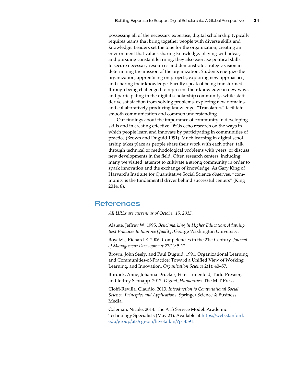possessing all of the necessary expertise, digital scholarship typically requires teams that bring together people with diverse skills and knowledge. Leaders set the tone for the organization, creating an environment that values sharing knowledge, playing with ideas, and pursuing constant learning; they also exercise political skills to secure necessary resources and demonstrate strategic vision in determining the mission of the organization. Students energize the organization, apprenticing on projects, exploring new approaches, and sharing their knowledge. Faculty speak of being transformed through being challenged to represent their knowledge in new ways and participating in the digital scholarship community, while staff derive satisfaction from solving problems, exploring new domains, and collaboratively producing knowledge. "Translators" facilitate smooth communication and common understanding.

Our findings about the importance of community in developing skills and in creating effective DSOs echo research on the ways in which people learn and innovate by participating in communities of practice (Brown and Duguid 1991). Much learning in digital scholarship takes place as people share their work with each other, talk through technical or methodological problems with peers, or discuss new developments in the field. Often research centers, including many we visited, attempt to cultivate a strong community in order to spark innovation and the exchange of knowledge. As Gary King of Harvard's Institute for Quantitative Social Science observes, "community is the fundamental driver behind successful centers" (King 2014, 8).

# References

*All URLs are current as of October 15, 2015.*

Alstete, Jeffrey W. 1995. *Benchmarking in Higher Education: Adapting Best Practices to Improve Quality*. George Washington University.

Boyatzis, Richard E. 2006. Competencies in the 21st Century. *Journal of Management Development* 27(1): 5-12.

Brown, John Seely, and Paul Duguid. 1991. Organizational Learning and Communities-of-Practice: Toward a Unified View of Working, Learning, and Innovation. *Organization Science* 2(1): 40–57.

Burdick, Anne, Johanna Drucker, Peter Lunenfeld, Todd Presner, and Jeffrey Schnapp. 2012. *Digital\_Humanities*. The MIT Press.

Cioffi-Revilla, Claudio. 2013. *Introduction to Computational Social Science: Principles and Applications*. Springer Science & Business Media.

Coleman, Nicole. 2014. The ATS Service Model. Academic Technology Specialists (May 21). Available at [https://web.stanford.](https://web.stanford.edu/group/ats/cgi-bin/hivetalkin/?p=4391) [edu/group/ats/cgi-bin/hivetalkin/?p=4391](https://web.stanford.edu/group/ats/cgi-bin/hivetalkin/?p=4391).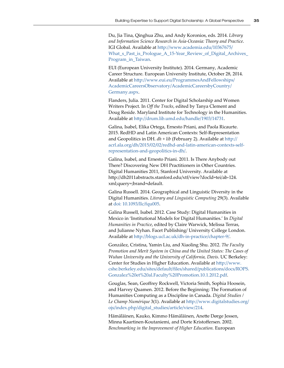Du, Jia Tina, Qinghua Zhu, and Andy Koronios, eds. 2014. *Library and Information Science Research in Asia-Oceania: Theory and Practice*. IGI Global. Available at [http://www.academia.edu/10367675/](http://www.academia.edu/10367675/What_s_Past_is_Prologue_A_15-Year_Review_of_Digital_Archives_Program_in_Taiwan) [What\\_s\\_Past\\_is\\_Prologue\\_A\\_15-Year\\_Review\\_of\\_Digital\\_Archives\\_](http://www.academia.edu/10367675/What_s_Past_is_Prologue_A_15-Year_Review_of_Digital_Archives_Program_in_Taiwan) [Program\\_in\\_Taiwan](http://www.academia.edu/10367675/What_s_Past_is_Prologue_A_15-Year_Review_of_Digital_Archives_Program_in_Taiwan).

EUI (European University Institute). 2014. Germany, Academic Career Structure. European University Institute, October 28, 2014. Available at [http://www.eui.eu/ProgrammesAndFellowships/](http://www.eui.eu/ProgrammesAndFellowships/AcademicCareersObservatory/AcademicCareersbyCountry/Germany.aspx) [AcademicCareersObservatory/AcademicCareersbyCountry/](http://www.eui.eu/ProgrammesAndFellowships/AcademicCareersObservatory/AcademicCareersbyCountry/Germany.aspx) [Germany.aspx](http://www.eui.eu/ProgrammesAndFellowships/AcademicCareersObservatory/AcademicCareersbyCountry/Germany.aspx).

Flanders, Julia. 2011. Center for Digital Scholarship and Women Writers Project. In *Off the Tracks*, edited by Tanya Clement and Doug Reside. Maryland Institute for Technology in the Humanities. Available at http://drum.lib.umd.edu/handle/1903/14731.

Galina, Isabel, Elika Ortega, Ernesto Priani, and Paola Ricaurte. 2015. RedHD and Latin American Contexts: Self-Representation and Geopolitics in DH. *dh + lib* (February 2). Available at http:// acrl.ala.org/dh/2015/02/02/redhd-and-latin-american-contexts-selfrepresentation-and-geopolitics-in-dh/.

Galina, Isabel, and Ernesto Priani. 2011. Is There Anybody out There? Discovering New DH Practitioners in Other Countries. Digital Humanities 2011, Stanford University. Available at [http://dh2011abstracts.stanford.edu/xtf/view?docId=tei/ab-124.](http://dh2011abstracts.stanford.edu/xtf/view?docId=tei/ab-124.xml;query=;brand=default) [xml;query=;brand=default](http://dh2011abstracts.stanford.edu/xtf/view?docId=tei/ab-124.xml;query=;brand=default).

Galina Russell. 2014. Geographical and Linguistic Diversity in the Digital Humanities. *Literary and Linguistic Computing* 29(3). Available at <doi: 10.1093/llc/fqu005>.

Galina Russell, Isabel. 2012. Case Study: Digital Humanities in Mexico in 'Institutional Models for Digital Humanities.' In *Digital Humanities in Practice*, edited by Claire Warwick, Melissa Terras, and Julianne Nyhan. Facet Publishing/ University College London. Available at http://blogs.ucl.ac.uk/dh-in-practice/chapter-9/.

González, Cristina, Yamin Liu, and Xiaoling Shu. 2012. *The Faculty Promotion and Merit System in China and the United States: The Cases of Wuhan University and the University of California, Davis*. UC Berkeley: Center for Studies in Higher Education. Available at [http://www.](http://www.cshe.berkeley.edu/sites/default/files/shared/publications/docs/ROPS.Gonzalez et al.Faculty Promotion.10.1.2012.pdf) [cshe.berkeley.edu/sites/default/files/shared/publications/docs/ROPS.](http://www.cshe.berkeley.edu/sites/default/files/shared/publications/docs/ROPS.Gonzalez et al.Faculty Promotion.10.1.2012.pdf) [Gonzalez%20et%20al.Faculty%20Promotion.10.1.2012.pdf](http://www.cshe.berkeley.edu/sites/default/files/shared/publications/docs/ROPS.Gonzalez et al.Faculty Promotion.10.1.2012.pdf).

Gouglas, Sean, Geoffrey Rockwell, Victoria Smith, Sophia Hoosein, and Harvey Quamen. 2012. Before the Beginning: The Formation of Humanities Computing as a Discipline in Canada. *Digital Studies / Le Champ Numérique* 3(1). Available at [http://www.digitalstudies.org/](http://www.digitalstudies.org/ojs/index.php/digital_studies/article/view/214) [ojs/index.php/digital\\_studies/article/view/214](http://www.digitalstudies.org/ojs/index.php/digital_studies/article/view/214).

Hämäläinen, Kauko, Kimmo Hämäläinen, Anette Dørge Jessen, Minna Kaartinen-Koutaniemi, and Dorte Kristoffersen. 2002. *Benchmarking in the Improvement of Higher Education.* European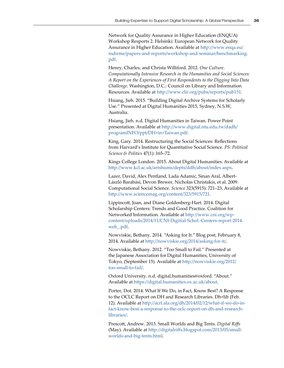Network for Quality Assurance in Higher Education (ENQUA) Workshop Resports 2. Helsinki: European Network for Quality Assurance in Higher Education. Available at http://www.enqa.eu/ indirme/papers-and-reports/workshop-and-seminar/benchmarking. pdf.

Henry, Charles, and Christa Williford. 2012. *One Culture. Computationally Intensive Research in the Humanities and Social Sciences: A Report on the Experiences of First Respondents to the Digging Into Data Challenge*. Washington, D.C.: Council on Library and Information Resources. Available at<http://www.clir.org/pubs/reports/pub151>.

Hsiang, Jieh. 2015. "Building Digital Archive Systems for Scholarly Use." Presented at Digital Humanities 2015, Sydney, N.S.W, Australia.

Hsiang, Jieh. n.d. Digital Humanities in Taiwan. Power Point presentation. Available at http://www.digital.ntu.edu.tw/dadh/ programINFO/ppt/DH+in+Taiwan.pdf.

King, Gary. 2014. Restructuring the Social Sciences: Reflections from Harvard's Institute for Quantitative Social Science. *PS: Political Science & Politics* 47(1): 165–72.

Kings College London. 2015. About Digital Humanities. Available at http://www.kcl.ac.uk/artshums/depts/ddh/about/index.aspx.

Lazer, David, Alex Pentland, Lada Adamic, Sinan Aral, Albert-László Barabási, Devon Brewer, Nicholas Christakis, et al. 2009. Computational Social Science. *Science* 323(5915): 721–23. Available at <http://www.sciencemag.org/content/323/5915/721>.

Lippincott, Joan, and Diane Goldenberg-Hart. 2014. Digital Scholarship Centers: Trends and Good Practice. Coalition for Networked Information. Available at [http://www.cni.org/wp](http://www.cni.org/wp-content/uploads/2014/11/CNI-Digitial-Schol.-Centers-report-2014.web_.pdf)[content/uploads/2014/11/CNI-Digitial-Schol.-Centers-report-2014.](http://www.cni.org/wp-content/uploads/2014/11/CNI-Digitial-Schol.-Centers-report-2014.web_.pdf) [web\\_.pdf](http://www.cni.org/wp-content/uploads/2014/11/CNI-Digitial-Schol.-Centers-report-2014.web_.pdf).

Nowviskie, Bethany. 2014. "Asking for It." Blog post, February 8, 2014. Available at<http://nowviskie.org/2014/asking-for-it/>.

Nowviskie, Bethany. 2012. "Too Small to Fail." Presented at the Japanese Association for Digital Humanities, University of Tokyo, (September 15). Available at http://nowviskie.org/2012/ too-small-to-fail/.

Oxford University. n.d. digital.humanities@oxford. "About." Available at https://digital.humanities.ox.ac.uk/about.

Porter, Dot. 2014. What If We Do, in Fact, Know Best? A Response to the OCLC Report on DH and Research Libraries. Dh+lib (Feb. 12). Available at http://acrl.ala.org/dh/2014/02/12/what-if-we-do-infact-know-best-a-response-to-the-oclc-report-on-dh-and-researchlibraries/.

Prescott, Andrew. 2013. Small Worlds and Big Tents. *Digital Riffs* (May). Available at http://digitalriffs.blogspot.com/2013/05/smallworlds-and-big-tents.html.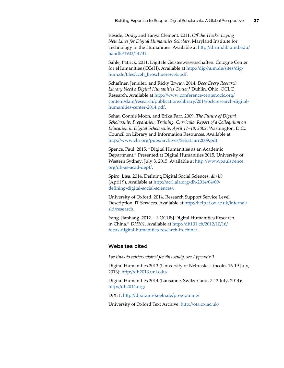Reside, Doug, and Tanya Clement. 2011. *Off the Tracks: Laying New Lines for Digital Humanities Scholars*. Maryland Institute for Technology in the Humanities. Available at [http://drum.lib.umd.edu/](http://drum.lib.umd.edu/handle/1903/14731) [handle/1903/14731](http://drum.lib.umd.edu/handle/1903/14731).

Sahle, Patrick. 2011. Digitale Geisteswissenschaften. Cologne Center for eHumanities (CCeH). Available at http://dig-hum.de/sites/dighum.de/files/cceh\_broschuereweb.pdf.

Schaffner, Jennifer, and Ricky Erway. 2014. *Does Every Research Library Need a Digital Humanities Center?* Dublin, Ohio: OCLC Research. Available at [http://www.conference-center.oclc.org/](http://www.conference-center.oclc.org/content/dam/research/publications/library/2014/oclcresearch-digital-humanities-center-2014.pdf) [content/dam/research/publications/library/2014/oclcresearch-digital](http://www.conference-center.oclc.org/content/dam/research/publications/library/2014/oclcresearch-digital-humanities-center-2014.pdf)[humanities-center-2014.pdf](http://www.conference-center.oclc.org/content/dam/research/publications/library/2014/oclcresearch-digital-humanities-center-2014.pdf).

Sehat, Connie Moon, and Erika Farr. 2009. *The Future of Digital Scholarship: Preparation, Training, Curricula. Report of a Colloquium on Education in Digital Scholarship, April 17–18, 2009*. Washington, D.C.: Council on Library and Information Resources. Available at <http://www.clir.org/pubs/archives/SehatFarr2009.pdf>.

Spence, Paul. 2015. "Digital Humanities as an Academic Department." Presented at Digital Humanities 2015, University of Western Sydney, July 3, 2015. Available at [http://www.paulspence.](http://www.paulspence.org/dh-as-acad-dept/) [org/dh-as-acad-dept/](http://www.paulspence.org/dh-as-acad-dept/).

Spiro, Lisa. 2014. Defining Digital Social Sciences. *dh+lib* (April 9). Available at [http://acrl.ala.org/dh/2014/04/09/](http://acrl.ala.org/dh/2014/04/09/defining-digital-social-sciences/) [defining-digital-social-sciences/](http://acrl.ala.org/dh/2014/04/09/defining-digital-social-sciences/).

University of Oxford. 2014. Research Support Service Level Description. IT Services. Available at [http://help.it.ox.ac.uk/internal/](http://help.it.ox.ac.uk/internal/sld/research) [sld/research](http://help.it.ox.ac.uk/internal/sld/research).

Yang, Jianhang. 2012. "[FOCUS] Digital Humanities Research in China." *DH101*. Available at [http://dh101.ch/2012/10/16/](http://dh101.ch/2012/10/16/focus-digital-humanities-research-in-china/) [focus-digital-humanities-research-in-china/](http://dh101.ch/2012/10/16/focus-digital-humanities-research-in-china/).

#### Websites cited

*For links to centers visited for this study, see Appendix 1.*

Digital Humanities 2013 (University of Nebraska-Lincoln, 16-19 July, 2013): http://dh2013.unl.edu/

Digital Humanities 2014 (Lausanne, Switzerland, 7-12 July, 2014): http://dh2014.org/

DiXiT: http://dixit.uni-koeln.de/programme/

University of Oxford Text Archive: http://ota.ox.ac.uk/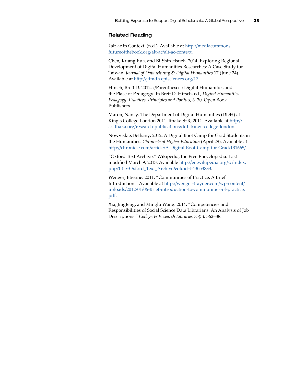#### Related Reading

#alt-ac in Context. (n.d.). Available at [http://mediacommons.](http://mediacommons.futureofthebook.org/alt-ac/alt-ac-context) [futureofthebook.org/alt-ac/alt-ac-context](http://mediacommons.futureofthebook.org/alt-ac/alt-ac-context).

Chen, Kuang-hua, and Bi-Shin Hsueh. 2014. Exploring Regional Development of Digital Humanities Researches: A Case Study for Taiwan. *Journal of Data Mining & Digital Humanities* 17 (June 24). Available at http://jdmdh.episciences.org/17.

Hirsch, Brett D. 2012. ‹/Parentheses›: Digital Humanities and the Place of Pedagogy. In Brett D. Hirsch, ed., *Digital Humanities Pedagogy: Practices, Principles and Politics*, 3–30. Open Book Publishers.

Maron, Nancy. The Department of Digital Humanities (DDH) at King's College London 2011. Ithaka S+R, 2011. Available at http:// sr.ithaka.org/research-publications/ddh-kings-college-london.

Nowviskie, Bethany. 2012. A Digital Boot Camp for Grad Students in the Humanities. *Chronicle of Higher Education* (April 29). Available at <http://chronicle.com/article/A-Digital-Boot-Camp-for-Grad/131665/>.

"Oxford Text Archive." Wikipedia, the Free Encyclopedia. Last modified March 9, 2013. Available [http://en.wikipedia.org/w/index.](http://en.wikipedia.org/w/index.php?title=Oxford_Text_Archive&oldid=543053833) [php?title=Oxford\\_Text\\_Archive&oldid=543053833](http://en.wikipedia.org/w/index.php?title=Oxford_Text_Archive&oldid=543053833).

Wenger, Etienne. 2011. "Communities of Practice: A Brief Introduction." Available at [http://wenger-trayner.com/wp-content/](http://wenger-trayner.com/wp-content/uploads/2012/01/06-Brief-introduction-to-communities-of-practice.pdf) [uploads/2012/01/06-Brief-introduction-to-communities-of-practice.](http://wenger-trayner.com/wp-content/uploads/2012/01/06-Brief-introduction-to-communities-of-practice.pdf) [pdf](http://wenger-trayner.com/wp-content/uploads/2012/01/06-Brief-introduction-to-communities-of-practice.pdf).

Xia, Jingfeng, and Minglu Wang. 2014. "Competencies and Responsibilities of Social Science Data Librarians: An Analysis of Job Descriptions." *College & Research Libraries* 75(3): 362–88.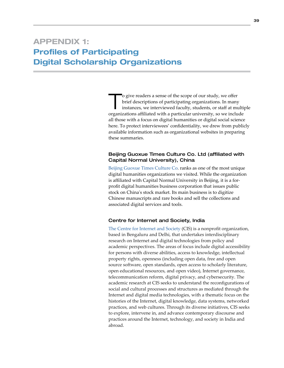To give readers a sense of the scope of our study, we offer<br>brief descriptions of participating organizations. In many<br>instances, we interviewed faculty, students, or staff at mu brief descriptions of participating organizations. In many instances, we interviewed faculty, students, or staff at multiple organizations affiliated with a particular university, so we include all those with a focus on digital humanities or digital social science here. To protect interviewees' confidentiality, we drew from publicly available information such as organizational websites in preparing these summaries.

## Beijing Guoxue Times Culture Co. Ltd (affiliated with Capital Normal University), China

[Beijing Guoxue Times Culture Co](http://www.guoxue.com/). ranks as one of the most unique digital humanities organizations we visited. While the organization is affiliated with Capital Normal University in Beijing, it is a forprofit digital humanities business corporation that issues public stock on China's stock market. Its main business is to digitize Chinese manuscripts and rare books and sell the collections and associated digital services and tools.

#### Centre for Internet and Society, India

[The Centre for Internet and Society](http://cis-india.org/) (CIS) is a nonprofit organization, based in Bengaluru and Delhi, that undertakes interdisciplinary research on Internet and digital technologies from policy and academic perspectives. The areas of focus include digital accessibility for persons with diverse abilities, access to knowledge, intellectual property rights, openness (including open data, free and open source software, open standards, open access to scholarly literature, open educational resources, and open video), Internet governance, telecommunication reform, digital privacy, and cybersecurity. The academic research at CIS seeks to understand the reconfigurations of social and cultural processes and structures as mediated through the Internet and digital media technologies, with a thematic focus on the histories of the Internet, digital knowledge, data systems, networked practices, and web cultures. Through its diverse initiatives, CIS seeks to explore, intervene in, and advance contemporary discourse and practices around the Internet, technology, and society in India and abroad.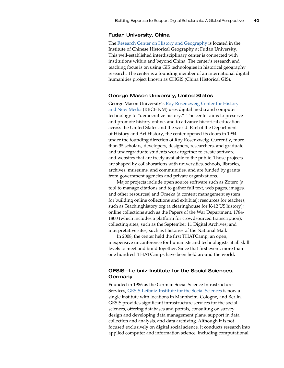#### Fudan University, China

The [Research Center on History and Geography](http://yugong.fudan.edu.cn/) is located in the Institute of Chinese Historical Geography at Fudan University. This well-established interdisciplinary center is connected with institutions within and beyond China. The center's research and teaching focus is on using GIS technologies in historical geography research. The center is a founding member of an international digital humanities project known as CHGIS (China Historical GIS).

#### George Mason University, United States

George Mason University's [Roy Rosenzweig Center for History](http://chnm.gmu.edu/)  [and New Media](http://chnm.gmu.edu/) (RRCHNM) uses digital media and computer technology to "democratize history." The center aims to preserve and promote history online, and to advance historical education across the United States and the world. Part of the Department of History and Art History, the center opened its doors in 1994 under the founding direction of Roy Rosenzweig. Currently, more than 35 scholars, developers, designers, researchers, and graduate and undergraduate students work together to create software and websites that are freely available to the public. Those projects are shaped by collaborations with universities, schools, libraries, archives, museums, and communities, and are funded by grants from government agencies and private organizations.

Major projects include open source software such as Zotero (a tool to manage citations and to gather full text, web pages, images, and other resources) and Omeka (a content management system for building online collections and exhibits); resources for teachers, such as Teachinghistory.org (a clearinghouse for K-12 US history); online collections such as the Papers of the War Department, 1784- 1800 (which includes a platform for crowdsourced transcription); collecting sites, such as the September 11 Digital Archives; and interpretative sites, such as Histories of the National Mall.

In 2008, the center held the first THATCamp, an open, inexpensive unconference for humanists and technologists at all skill levels to meet and build together. Since that first event, more than one hundred THATCamps have been held around the world.

## GESIS—Leibniz-Institute for the Social Sciences, Germany

Founded in 1986 as the German Social Science Infrastructure Services, [GESIS-Leibniz-Institute for the Social Sciences](http://www.gesis.org/en/home/) is now a single institute with locations in Mannheim, Cologne, and Berlin. GESIS provides significant infrastructure services for the social sciences, offering databases and portals, consulting on survey design and developing data management plans, support in data collection and analysis, and data archiving. Although it is not focused exclusively on digital social science, it conducts research into applied computer and information science, including computational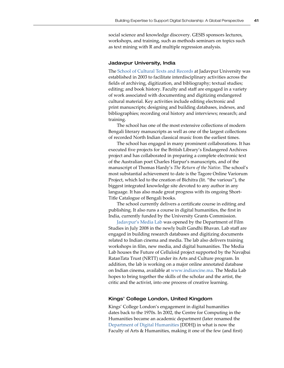social science and knowledge discovery. GESIS sponsors lectures, workshops, and training, such as methods seminars on topics such as text mining with R and multiple regression analysis.

#### Jadavpur University, India

The [School of Cultural Texts and Records](http://www.jaduniv.edu.in/view_department.php?deptid=135) at Jadavpur University was established in 2003 to facilitate interdisciplinary activities across the fields of archiving, digitization, and bibliography; textual studies; editing; and book history. Faculty and staff are engaged in a variety of work associated with documenting and digitizing endangered cultural material. Key activities include editing electronic and print manuscripts; designing and building databases, indexes, and bibliographies; recording oral history and interviews; research; and training.

The school has one of the most extensive collections of modern Bengali literary manuscripts as well as one of the largest collections of recorded North Indian classical music from the earliest times.

The school has engaged in many prominent collaborations. It has executed five projects for the British Library's Endangered Archives project and has collaborated in preparing a complete electronic text of the Australian poet Charles Harpur's manuscripts, and of the manuscript of Thomas Hardy's *The Return of the Native*. The school's most substantial achievement to date is the Tagore Online Variorum Project, which led to the creation of Bichitra (lit. "the various"), the biggest integrated knowledge site devoted to any author in any language. It has also made great progress with its ongoing Short-Title Catalogue of Bengali books.

The school currently delivers a certificate course in editing and publishing. It also runs a course in digital humanities, the first in India, currently funded by the University Grants Commission.

Jadavpur's [Media Lab](http://www.medialabju.org/) was opened by the Department of Film Studies in July 2008 in the newly built Gandhi Bhavan. Lab staff are engaged in building research databases and digitizing documents related to Indian cinema and media. The lab also delivers training workshops in film, new media, and digital humanities. The Media Lab houses the Future of Celluloid project supported by the Navajbai RatanTata Trust (NRTT) under its Arts and Culture program. In addition, the lab is working on a major online annotated database on Indian cinema, available at [www.indiancine.ma](http://www.indiancine.ma). The Media Lab hopes to bring together the skills of the scholar and the artist, the critic and the activist, into one process of creative learning.

#### Kings' College London, United Kingdom

Kings' College London's engagement in digital humanities dates back to the 1970s. In 2002, the Centre for Computing in the Humanities became an academic department (later renamed the [Department of Digital Humanities](http://www.kcl.ac.uk/artshums/depts/ddh/index.aspx) [DDH]) in what is now the Faculty of Arts & Humanities, making it one of the few (and first)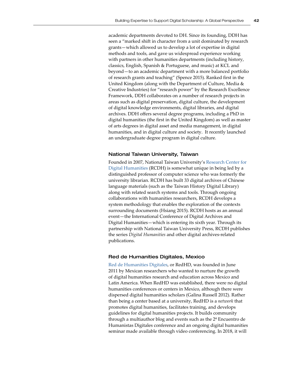academic departments devoted to DH. Since its founding, DDH has seen a "marked shift in character from a unit dominated by research grants—which allowed us to develop a lot of expertise in digital methods and tools, and gave us widespread experience working with partners in other humanities departments (including history, classics, English, Spanish & Portuguese, and music) at KCL and beyond—to an academic department with a more balanced portfolio of research grants and teaching" (Spence 2015). Ranked first in the United Kingdom (along with the [Department of Culture, Media &](http://www.kcl.ac.uk/artshums/depts/cmci/index.aspx)  [Creative Industries](http://www.kcl.ac.uk/artshums/depts/cmci/index.aspx)) for "research power" by the [Research Excellence](http://www.ref.ac.uk/)  [Framework](http://www.ref.ac.uk/), DDH collaborates on a number of research projects in areas such as digital preservation, digital culture, the development of digital knowledge environments, digital libraries, and digital archives. DDH offers several degree programs, including a PhD in digital humanities (the first in the United Kingdom) as well as master of arts degrees in digital asset and media management, in digital humanities, and in [digital culture and society](http://www.kcl.ac.uk/artshums/depts/ddh/study/pgt/madcs/index.aspx). It recently launched an undergraduate degree program in digital culture.

#### National Taiwan University, Taiwan

Founded in 2007, National Taiwan University'[s Research Center for](http://www.digital.ntu.edu.tw/en/)  [Digital Humanities](http://www.digital.ntu.edu.tw/en/) (RCDH) is somewhat unique in being led by a distinguished professor of computer science who was formerly the university librarian. RCDH has built 33 digital archives of Chinese language materials (such as the Taiwan History Digital Library) along with related search systems and tools. Through ongoing collaborations with humanities researchers, RCDH develops a system methodology that enables the exploration of the contexts surrounding documents (Hsiang 2015). RCDH hosts as an annual event—the International Conference of Digital Archives and Digital Humanities—which is entering its sixth year. Through its partnership with National Taiwan University Press, RCDH publishes the series *Digital Humanities* and other digital archives-related publications.

#### Red de Humanities Digitales, Mexico

[Red de Humanities Digitales](http://humanidadesdigitales.net/), or RedHD, was founded in June 2011 by Mexican researchers who wanted to nurture the growth of digital humanities research and education across Mexico and Latin America. When RedHD was established, there were no digital humanities conferences or centers in Mexico, although there were dispersed digital humanities scholars (Galina Russell 2012). Rather than being a center based at a university, RedHD is a *network* that promotes digital humanities, facilitates training, and develops guidelines for digital humanities projects. It builds community through a multiauthor blog and events such as the 2ª Encuentro de Humanistas Digitales conference and an ongoing digital humanities seminar made available through video conferencing. In 2018, it will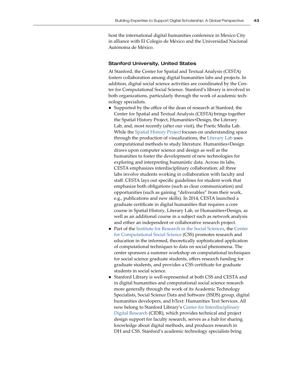host the international digital humanities conference in Mexico City in alliance with El Colegio de México and the Universidad Nacional Autónoma de México.

#### Stanford University, United States

At Stanford, the Center for Spatial and Textual Analysis (CESTA) fosters collaboration among digital humanities labs and projects. In addition, digital social science activities are coordinated by the Center for Computational Social Science. Stanford's library is involved in both organizations, particularly through the work of academic technology specialists.

- Supported by the office of the dean of research at Stanford, the Center for Spatial and Textual Analysis (CESTA) brings together the Spatial History Project, Humanities+Design, the Literary Lab, and, most recently (after our visit), the Poetic Media Lab. While the [Spatial History Project](https://web.stanford.edu/group/spatialhistory/cgi-bin/site/page.php?id=1) focuses on understanding space through the production of visualizations, the [Literary Lab](http://litlab.stanford.edu/) uses computational methods to study literature. [Humanities+Design]( http://hdlab.stanford.edu/about/) draws upon computer science and design as well as the humanities to foster the development of new technologies for exploring and interpreting humanistic data. Across its labs, CESTA emphasizes interdisciplinary collaboration; all three labs involve students working in collaboration with faculty and staff. CESTA lays out specific guidelines for student work that emphasize both obligations (such as clear communication) and opportunities (such as gaining "deliverables" from their work, e.g., publications and new skills). In 2014, CESTA launched a graduate certificate in digital humanities that requires a core course in Spatial History, Literary Lab, or Humanities+Design, as well as an additional course in a subject such as network analysis and either an independent or collaborative research project.
- Part of the [Institute for Research in the Social Sciences,](https://iriss.stanford.edu/) the [Center](https://css-center.stanford.edu/)  [for Computational Social Science](https://css-center.stanford.edu/) (CSS) promotes research and education in the informed, theoretically sophisticated application of computational techniques to data on social phenomena. The center sponsors a summer workshop on computational techniques for social science graduate students, offers research funding for graduate students, and provides a CSS certificate for graduate students in social science.
- Stanford Library is well-represented at both CSS and CESTA and in digital humanities and computational social science research more generally through the work of its Academic Technology Specialists, Social Science Data and Software (SSDS) group, digital humanities developers, and hText: Humanities Text Services. All now belong to Stanford Library's [Center for Interdisciplinary](http://library.stanford.edu/research/center-interdisciplinary-digital-research-cidr)  [Digital Research](http://library.stanford.edu/research/center-interdisciplinary-digital-research-cidr) (CIDR), which provides technical and project design support for faculty research, serves as a hub for sharing knowledge about digital methods, and produces research in DH and CSS. Stanford's academic technology specialists bring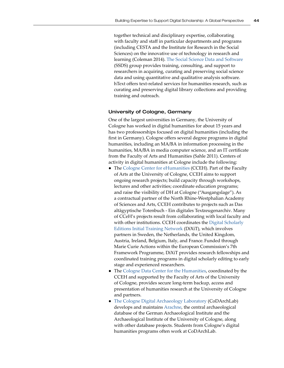together technical and disciplinary expertise, collaborating with faculty and staff in particular departments and programs (including CESTA and the Institute for Research in the Social Sciences) on the innovative use of technology in research and learning (Coleman 2014). [The Social Science Data and Software](https://ssds.stanford.edu/) (SSDS) group provides training, consulting, and support to researchers in acquiring, curating and preserving social science data and using quantitative and qualitative analysis software. hText offers text-related services for humanities research, such as curating and preserving digital library collections and providing training and outreach.

#### University of Cologne, Germany

One of the largest universities in Germany, the University of Cologne has worked in digital humanities for about 15 years and has two professorships focused on digital humanities (including the first in Germany). Cologne offers several degree programs in digital humanities, including an MA/BA in information processing in the humanities, MA/BA in media computer science, and an IT certificate from the Faculty of Arts and Humanities (Sahle 2011). Centers of activity in digital humanities at Cologne include the following:

- The [Cologne Center for eHumanities](http://www.cceh.uni-koeln.de/) (CCEH). Part of the Faculty of Arts at the University of Cologne, CCEH aims to support ongoing research projects; build capacity through workshops, lectures and other activities; coordinate education programs; and raise the visibility of DH at Cologne ("Ausgangslage"). As a contractual partner of the North Rhine-Westphalian Academy of Sciences and Arts, CCEH contributes to projects such as Das altägyptische Totenbuch - Ein digitales Textzeugenarchiv. Many of CCeH's projects result from collaborating with local faculty and with other institutions. CCEH coordinates the [Digital Scholarly](http://dixit.uni-koeln.de/)  [Editions Initial Training Network](http://dixit.uni-koeln.de/) (DiXiT), which involves partners in Sweden, the Netherlands, the United Kingdom, Austria, Ireland, Belgium, Italy, and France. Funded through Marie Curie Actions within the European Commission's 7th Framework Programme, DiXiT provides research fellowships and coordinated training programs in digital scholarly editing to early stage and experienced researchers.
- The [Cologne Data Center for the Humanities](http://dch.phil-fak.uni-koeln.de/startseite.html?&L=1), coordinated by the CCEH and supported by the Faculty of Arts of the University of Cologne, provides secure long-term backup, access and presentation of humanities research at the University of Cologne and partners.
- [The Cologne Digital Archaeology Laboratory](http://www.zakmira.uni-koeln.biz/node/23) (CoDArchLab) develops and maintains [Arachne](http://arachne.uni-koeln.de/arachne3/drupal/), the central archaeological database of the German Archaeological Institute and the Archaeological Institute of the University of Cologne, along with other database projects. Students from Cologne's digital humanities programs often work at CoDArchLab.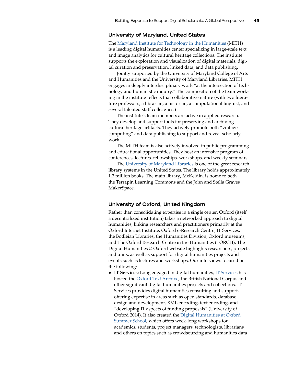#### University of Maryland, United States

The [Maryland Institute for Technology in the Humanities](http://mith.umd.edu/) (MITH) is a leading digital humanities center specializing in large-scale text and image analytics for cultural heritage collections. The institute supports the exploration and visualization of digital materials, digital curation and preservation, linked data, and data publishing.

Jointly supported by the University of Maryland College of Arts and Humanities and the University of Maryland Libraries, MITH engages in deeply interdisciplinary work "at the intersection of technology and humanistic inquiry." The composition of the team working in the institute reflects that collaborative nature (with two literature professors, a librarian, a historian, a computational linguist, and several talented staff colleagues.)

The institute's team members are active in applied research. They develop and support tools for preserving and archiving cultural heritage artifacts. They actively promote both "vintage computing" and data publishing to support and reveal scholarly work.

The MITH team is also actively involved in public programming and educational opportunities. They host an intensive program of conferences, lectures, fellowships, workshops, and weekly seminars.

The [University of Maryland Libraries](http://www.lib.umd.edu/) is one of the great research library systems in the United States. The library holds approximately 1.2 million books. The main library, McKeldin, is home to both the Terrapin Learning Commons and the John and Stella Graves MakerSpace.

#### University of Oxford, United Kingdom

Rather than consolidating expertise in a single center, Oxford (itself a decentralized institution) takes a networked approach to digital humanities, linking researchers and practitioners primarily at the Oxford Internet Institute, Oxford e-Research Centre, IT Services, the Bodleian Libraries, the Humanities Division, Oxford museums, and The Oxford Research Centre in the Humanities (TORCH). The Digital.Humanities @ Oxford website highlights researchers, projects and units, as well as support for digital humanities projects and events such as lectures and workshops. Our interviews focused on the following:

● **IT Services:** Long engaged in digital humanities, [IT Services](https://www.it.ox.ac.uk/) has hosted the [Oxford Text Archive,](http://ota.ox.ac.uk/) the British National Corpus and other significant digital humanities projects and collections. IT Services provides digital humanities consulting and support, offering expertise in areas such as open standards, database design and development, XML encoding, text encoding, and "developing IT aspects of funding proposals" (University of Oxford 2014). It also created the [Digital Humanities at Oxford](http://digital.humanities.ox.ac.uk/dhoxss/)  [Summer School,](http://digital.humanities.ox.ac.uk/dhoxss/) which offers week-long workshops for academics, students, project managers, technologists, librarians and others on topics such as crowdsourcing and humanities data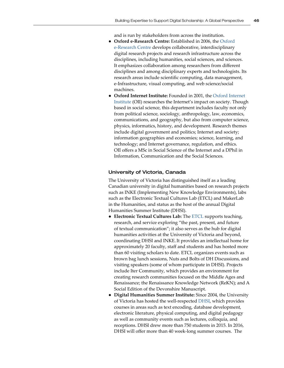and is run by stakeholders from across the institution.

- **Oxford e-Research Centre:** Established in 2006, the [Oxford](http://www.oerc.ox.ac.uk/)  [e-Research Centre](http://www.oerc.ox.ac.uk/) develops collaborative, interdisciplinary digital research projects and research infrastructure across the disciplines, including humanities, social sciences, and sciences. It emphasizes collaboration among researchers from different disciplines and among disciplinary experts and technologists. Its research areas include scientific computing, data management, e-Infrastructure, visual computing, and web science/social machines.
- **Oxford Internet Institute:** Founded in 2001, the [Oxford Internet](http://www.oii.ox.ac.uk/)  [Institute](http://www.oii.ox.ac.uk/) (OII) researches the Internet's impact on society. Though based in social science, this department includes faculty not only from political science, sociology, anthropology, law, economics, communications, and geography, but also from computer science, physics, informatics, history, and development. Research themes include digital government and politics; Internet and society; information geographies and economies; science, learning, and technology; and Internet governance, regulation, and ethics. OII offers a MSc in Social Science of the Internet and a DPhil in Information, Communication and the Social Sciences.

#### University of Victoria, Canada

The University of Victoria has distinguished itself as a leading Canadian university in digital humanities based on research projects such as INKE (Implementing New Knowledge Environments), labs such as the Electronic Textual Cultures Lab (ETCL) and MakerLab in the Humanities, and status as the host of the annual [Digital](http://www.dhsi.org/)  [Humanities Summer Institute](http://www.dhsi.org/) (DHSI).

- **Electronic Textual Cultures Lab:** The [ETCL](http://etcl.uvic.ca/) supports teaching, research, and service exploring "the past, present, and future of textual communication"; it also serves as the hub for digital humanities activities at the University of Victoria and beyond, coordinating DHSI and INKE.It provides an intellectual home for approximately 20 faculty, staff and students and has hosted more than 60 visiting scholars to date. ETCL organizes events such as brown bag lunch sessions, Nuts and Bolts of DH Discussions, and visiting speakers (some of whom participate in DHSI). Projects include Iter Community, which provides an environment for creating research communities focused on the Middle Ages and Renaissance; the Renaissance Knowledge Network (ReKN); and A Social Edition of the Devonshire Manuscript.
- **Digital Humanities Summer Institute:** Since 2004, the University of Victoria has hosted the well-respecte[d DHSI](http://www.dhsi.org/), which provides courses in areas such as text encoding, database development, electronic literature, physical computing, and digital pedagogy as well as community events such as lectures, colloquia, and receptions. DHSI drew more than 750 students in 2015. In 2016, DHSI will offer more than 40 week-long summer courses. The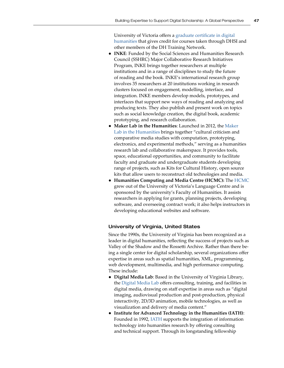University of Victoria offers a [graduate certificate in digital](http://www.uvic.ca/humanities/english/graduate/graduate-certificates/dhum-certificate/index.php)  [humanities](http://www.uvic.ca/humanities/english/graduate/graduate-certificates/dhum-certificate/index.php) that gives credit for courses taken through DHSI and other members of the DH Training Network.

- **INKE**: Funded by the Social Sciences and Humanities Research Council (SSHRC) Major Collaborative Research Initiatives Program, INKE brings together researchers at multiple institutions and in a range of disciplines to study the future of reading and the book. INKE's international research group involves 35 researchers at 20 institutions working in research clusters focused on engagement, modelling, interface, and integration. INKE members develop models, prototypes, and interfaces that support new ways of reading and analyzing and producing texts. They also publish and present work on topics such as social knowledge creation, the digital book, academic prototyping, and research collaboration.
- **Maker Lab in the Humanities**: Launched in 2012, the [Maker](http://maker.uvic.ca/)  [Lab in the Humanities](http://maker.uvic.ca/) brings together "cultural criticism and comparative media studies with computation, prototyping, electronics, and experimental methods," serving as a humanities research lab and collaborative makerspace. It provides tools, space, educational opportunities, and community to facilitate faculty and graduate and undergraduate students developing range of projects, such as Kits for Cultural History, open source kits that allow users to reconstruct old technologies and media.
- **Humanities Computing and Media Centre (HCMC):** The [HCMC](https://hcmc.uvic.ca/index.php) grew out of the University of Victoria's Language Centre and is sponsored by the university's Faculty of Humanities. It assists researchers in applying for grants, planning projects, developing software, and overseeing contract work; it also helps instructors in developing educational websites and software.

## University of Virginia, United States

Since the 1990s, the University of Virginia has been recognized as a leader in digital humanities, reflecting the success of projects such as Valley of the Shadow and the Rossetti Archive. Rather than there being a single center for digital scholarship, several organizations offer expertise in areas such as spatial humanities, XML, programming, web development, multimedia, and high performance computing. These include:

- **Digital Media Lab**: Based in the University of Virginia Library, the [Digital Media Lab](https://www.library.virginia.edu/blog/libraries/dml/) offers consulting, training, and facilities in digital media, drawing on staff expertise in areas such as "digital imaging, audiovisual production and post-production, physical interactivity, 2D/3D animation, mobile technologies, as well as visualization and delivery of media content."
- **Institute for Advanced Technology in the Humanities (IATH):** Founded in 1992[, IATH s](http://www.iath.virginia.edu/)upports the integration of information technology into humanities research by offering consulting and technical support. Through its longstanding fellowship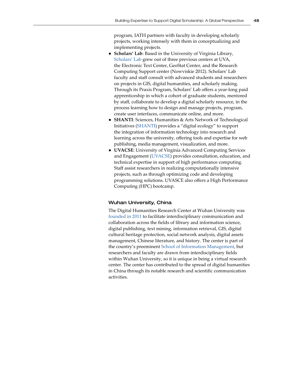program, IATH partners with faculty in developing scholarly projects, working intensely with them in conceptualizing and implementing projects.

- **Scholars' Lab**: Based in the University of Virginia Library, [Scholars' Lab](http://scholarslab.org/about/) grew out of three previous centers at UVA, the Electronic Text Center, GeoStat Center, and the Research Computing Support center (Nowviskie 2012). Scholars' Lab faculty and staff consult with advanced students and researchers on projects in GIS, digital humanities, and scholarly making. Through its Praxis Program, Scholars' Lab offers a year-long paid apprenticeship in which a cohort of graduate students, mentored by staff, collaborate to develop a digital scholarly resource, in the process learning how to design and manage projects, program, create user interfaces, communicate online, and more.
- **SHANTI**: Sciences, Humanities & Arts Network of Technological Initiatives ([SHANTI\)](http://shanti.virginia.edu/wordpress/?page_id=414) provides a "digital ecology" to support the integration of information technology into research and learning across the university, offering tools and expertise for web publishing, media management, visualization, and more.
- **UVACSE**: University of Virginia Advanced Computing Services and Engagement ([UVACSE](http://uvacse.virginia.edu/)) provides consultation, education, and technical expertise in support of high performance computing. Staff assist researchers in realizing computationally intensive projects, such as through optimizing code and developing programming solutions. UVASCE also offers a High Performance Computing (HPC) bootcamp.

#### Wuhan University, China

The Digital Humanities Research Center at Wuhan University was [founded in 2011](http://ssroff.whu.edu.cn/2011/0504/428.html) to facilitate interdisciplinary communication and collaboration across the fields of library and information science, digital publishing, text mining, information retrieval, GIS, digital cultural heritage protection, social network analysis, digital assets management, Chinese literature, and history. The center is part of the country's preeminent [School of Information Management](https://en.m.wikipedia.org/wiki/Wuhan_University_School_of_Information_Management), but researchers and faculty are drawn from interdisciplinary fields within Wuhan University, so it is unique in being a virtual research center. The center has contributed to the spread of digital humanities in China through its notable research and scientific communication activities.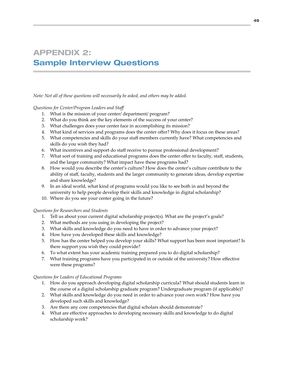# APPENDIX 2: Sample Interview Questions

*Note: Not all of these questions will necessarily be asked, and others may be added.* 

## *Questions for Center/Program Leaders and Staff*

- 1. What is the mission of your center/ department/ program?
- 2. What do you think are the key elements of the success of your center?
- 3. What challenges does your center face in accomplishing its mission?
- 4. What kind of services and programs does the center offer? Why does it focus on these areas?
- 5. What competencies and skills do your staff members currently have? What competencies and skills do you wish they had?
- 6. What incentives and support do staff receive to pursue professional development?
- 7. What sort of training and educational programs does the center offer to faculty, staff, students, and the larger community? What impact have these programs had?
- 8. How would you describe the center's culture? How does the center's culture contribute to the ability of staff, faculty, students and the larger community to generate ideas, develop expertise and share knowledge?
- 9. In an ideal world, what kind of programs would you like to see both in and beyond the university to help people develop their skills and knowledge in digital scholarship?
- 10. Where do you see your center going in the future?

## *Questions for Researchers and Students*

- 1. Tell us about your current digital scholarship project(s). What are the project's goals?
- 2. What methods are you using in developing the project?
- 3. What skills and knowledge do you need to have in order to advance your project?
- 4. How have you developed these skills and knowledge?
- 5. How has the center helped you develop your skills? What support has been most important? Is there support you wish they could provide?
- 6. To what extent has your academic training prepared you to do digital scholarship?
- 7. What training programs have you participated in or outside of the university? How effective were these programs?

## *Questions for Leaders of Educational Programs*

- 1. How do you approach developing digital scholarship curricula? What should students learn in the course of a digital scholarship graduate program? Undergraduate program (if applicable)?
- 2. What skills and knowledge do you need in order to advance your own work? How have you developed such skills and knowledge?
- 3. Are there any core competencies that digital scholars should demonstrate?
- 4. What are effective approaches to developing necessary skills and knowledge to do digital scholarship work?